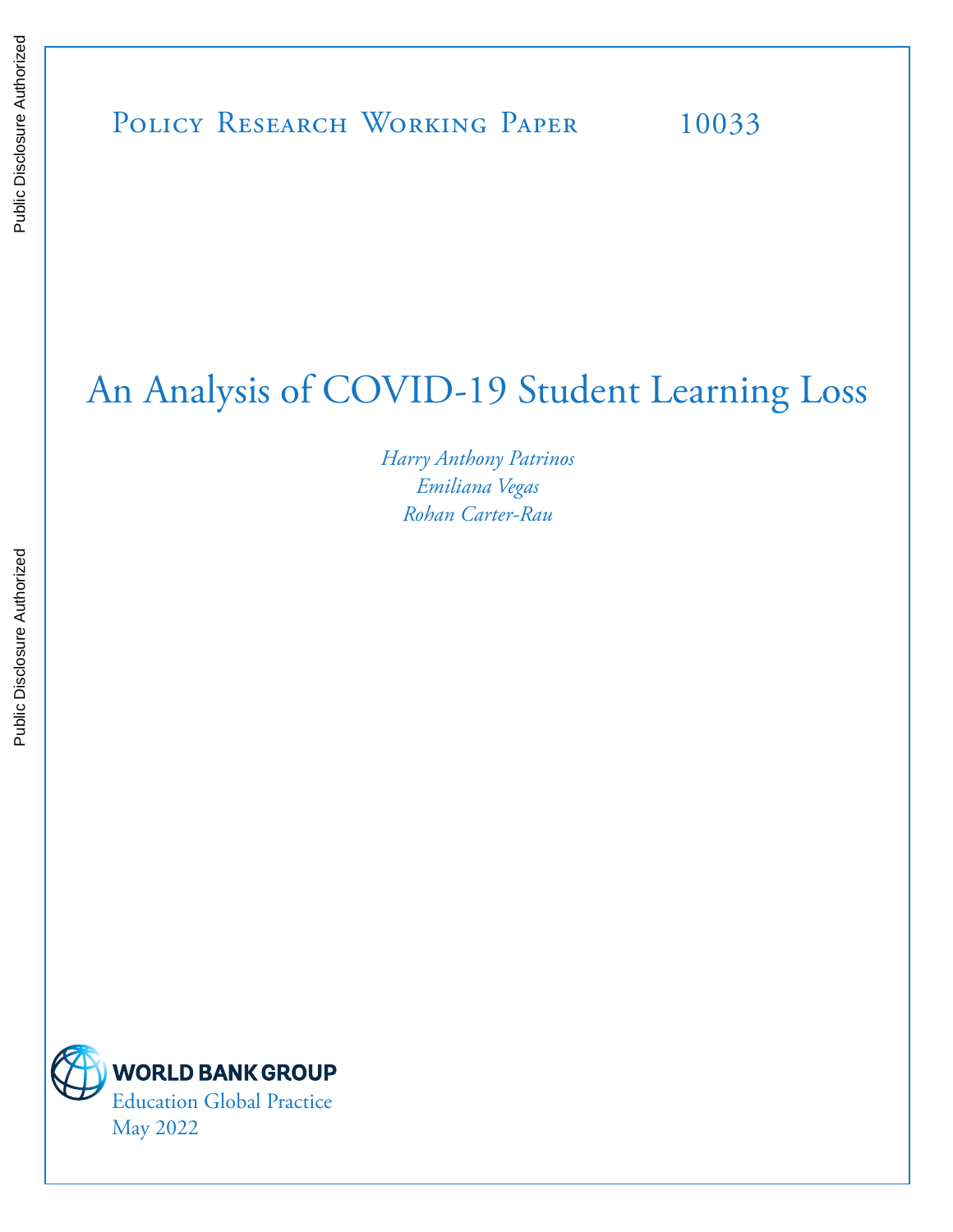# An Analysis of COVID-19 Student Learning Loss

*Harry Anthony Patrinos Emiliana Vegas Rohan Carter-Rau*

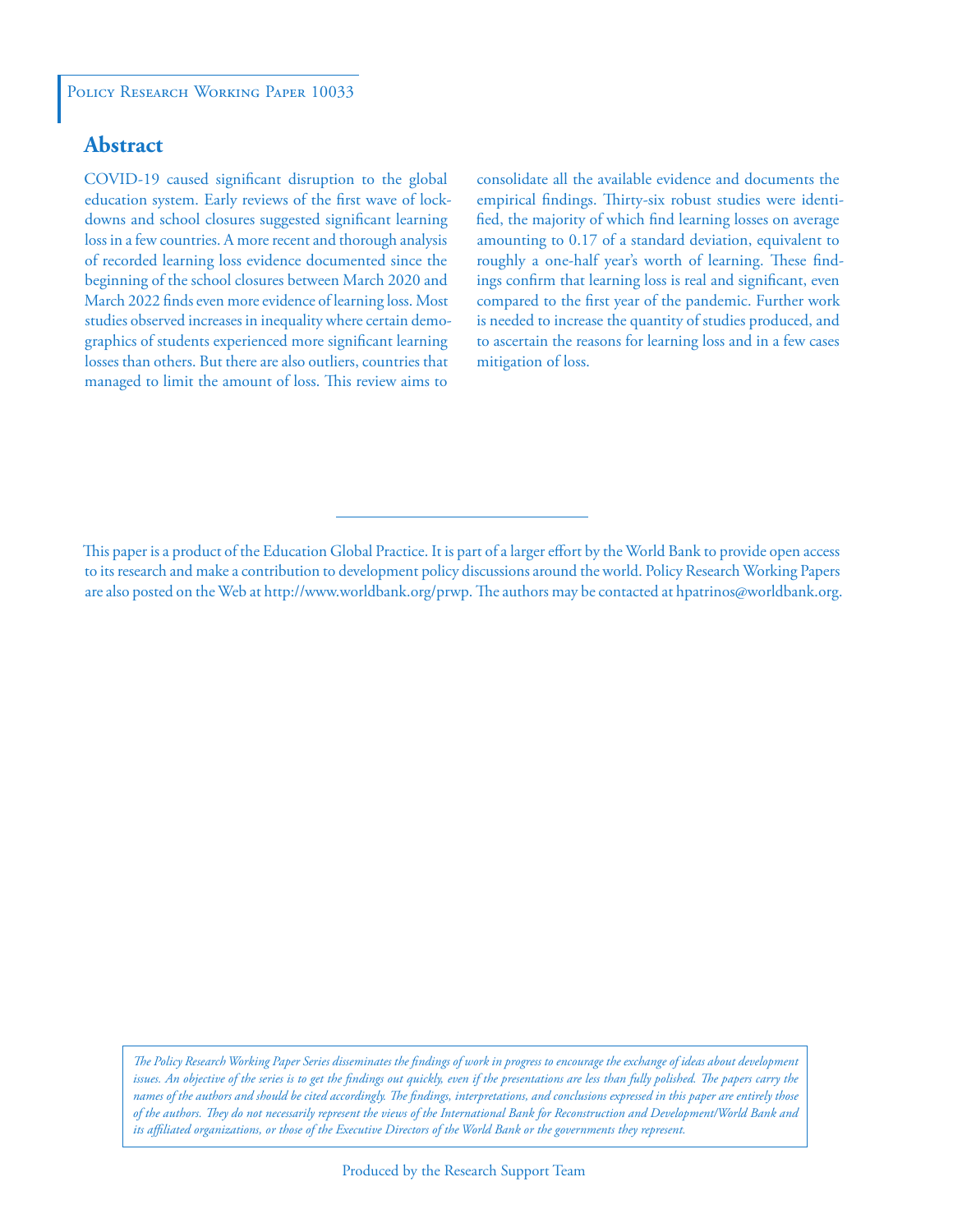### **Abstract**

COVID-19 caused significant disruption to the global education system. Early reviews of the first wave of lockdowns and school closures suggested significant learning loss in a few countries. A more recent and thorough analysis of recorded learning loss evidence documented since the beginning of the school closures between March 2020 and March 2022 finds even more evidence of learning loss. Most studies observed increases in inequality where certain demographics of students experienced more significant learning losses than others. But there are also outliers, countries that managed to limit the amount of loss. This review aims to

consolidate all the available evidence and documents the empirical findings. Thirty-six robust studies were identified, the majority of which find learning losses on average amounting to 0.17 of a standard deviation, equivalent to roughly a one-half year's worth of learning. These findings confirm that learning loss is real and significant, even compared to the first year of the pandemic. Further work is needed to increase the quantity of studies produced, and to ascertain the reasons for learning loss and in a few cases mitigation of loss.

This paper is a product of the Education Global Practice. It is part of a larger effort by the World Bank to provide open access to its research and make a contribution to development policy discussions around the world. Policy Research Working Papers are also posted on the Web at http://www.worldbank.org/prwp. The authors may be contacted at hpatrinos@worldbank.org.

*The Policy Research Working Paper Series disseminates the findings of work in progress to encourage the exchange of ideas about development*  issues. An objective of the series is to get the findings out quickly, even if the presentations are less than fully polished. The papers carry the *names of the authors and should be cited accordingly. The findings, interpretations, and conclusions expressed in this paper are entirely those of the authors. They do not necessarily represent the views of the International Bank for Reconstruction and Development/World Bank and its affiliated organizations, or those of the Executive Directors of the World Bank or the governments they represent.*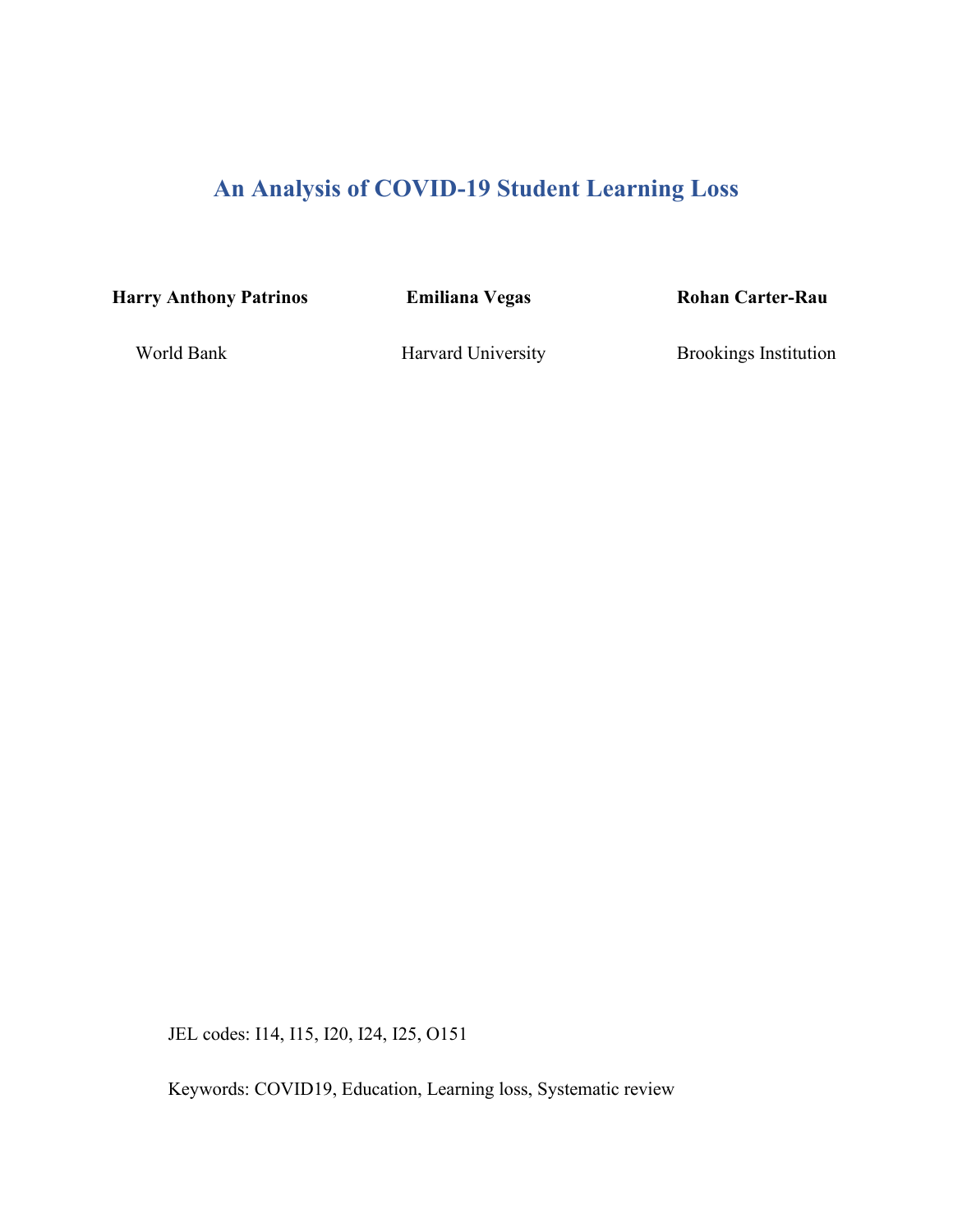# **An Analysis of COVID-19 Student Learning Loss**

**Harry Anthony Patrinos Emiliana Vegas Rohan Carter-Rau**

World Bank Harvard University Brookings Institution

JEL codes: I14, I15, I20, I24, I25, O151

Keywords: COVID19, Education, Learning loss, Systematic review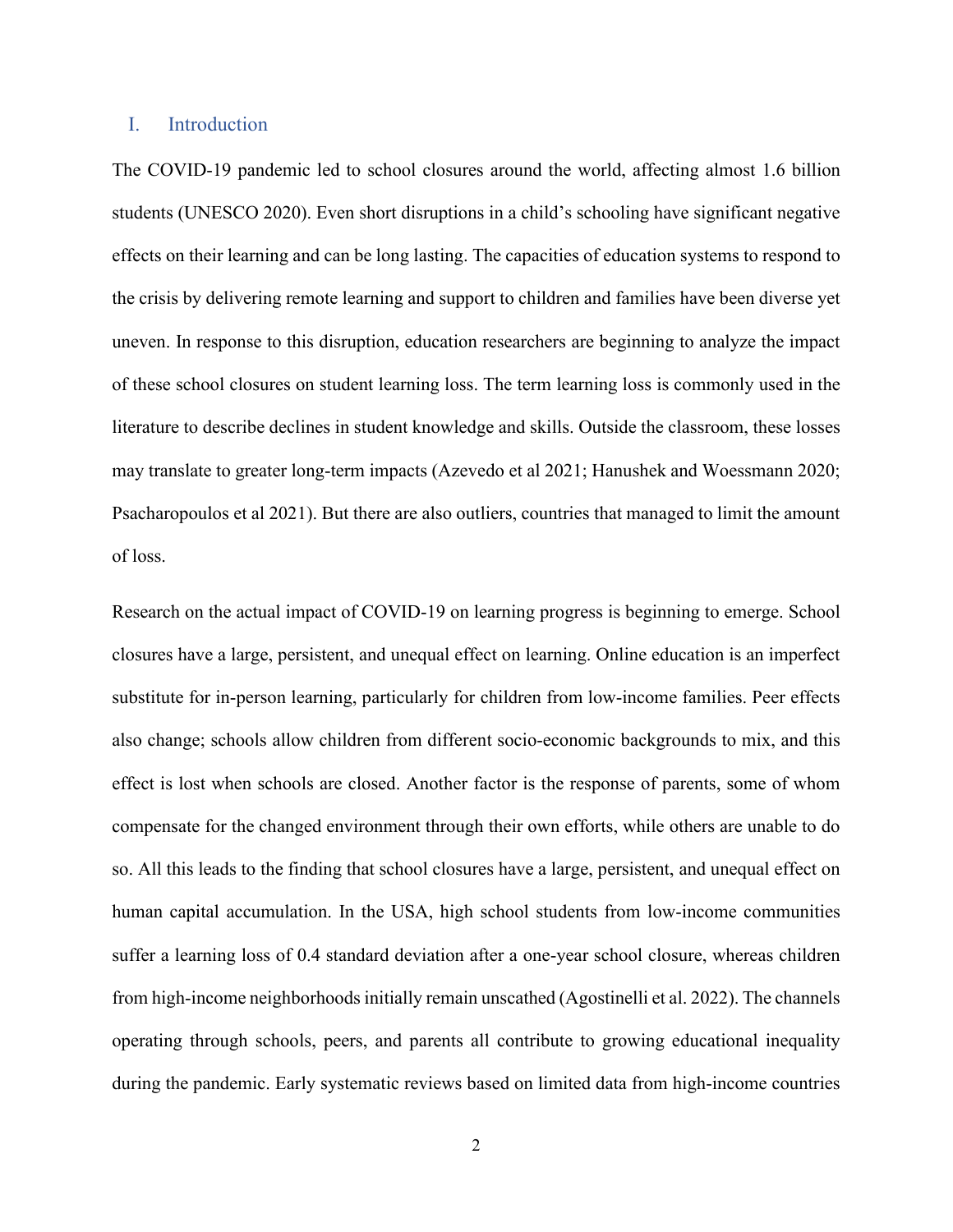#### I. Introduction

The COVID-19 pandemic led to school closures around the world, affecting almost 1.6 billion students (UNESCO 2020). Even short disruptions in a child's schooling have significant negative effects on their learning and can be long lasting. The capacities of education systems to respond to the crisis by delivering remote learning and support to children and families have been diverse yet uneven. In response to this disruption, education researchers are beginning to analyze the impact of these school closures on student learning loss. The term learning loss is commonly used in the literature to describe declines in student knowledge and skills. Outside the classroom, these losses may translate to greater long-term impacts (Azevedo et al 2021; Hanushek and Woessmann 2020; Psacharopoulos et al 2021). But there are also outliers, countries that managed to limit the amount of loss.

Research on the actual impact of COVID-19 on learning progress is beginning to emerge. School closures have a large, persistent, and unequal effect on learning. Online education is an imperfect substitute for in-person learning, particularly for children from low-income families. Peer effects also change; schools allow children from different socio-economic backgrounds to mix, and this effect is lost when schools are closed. Another factor is the response of parents, some of whom compensate for the changed environment through their own efforts, while others are unable to do so. All this leads to the finding that school closures have a large, persistent, and unequal effect on human capital accumulation. In the USA, high school students from low-income communities suffer a learning loss of 0.4 standard deviation after a one-year school closure, whereas children from high-income neighborhoods initially remain unscathed (Agostinelli et al. 2022). The channels operating through schools, peers, and parents all contribute to growing educational inequality during the pandemic. Early systematic reviews based on limited data from high-income countries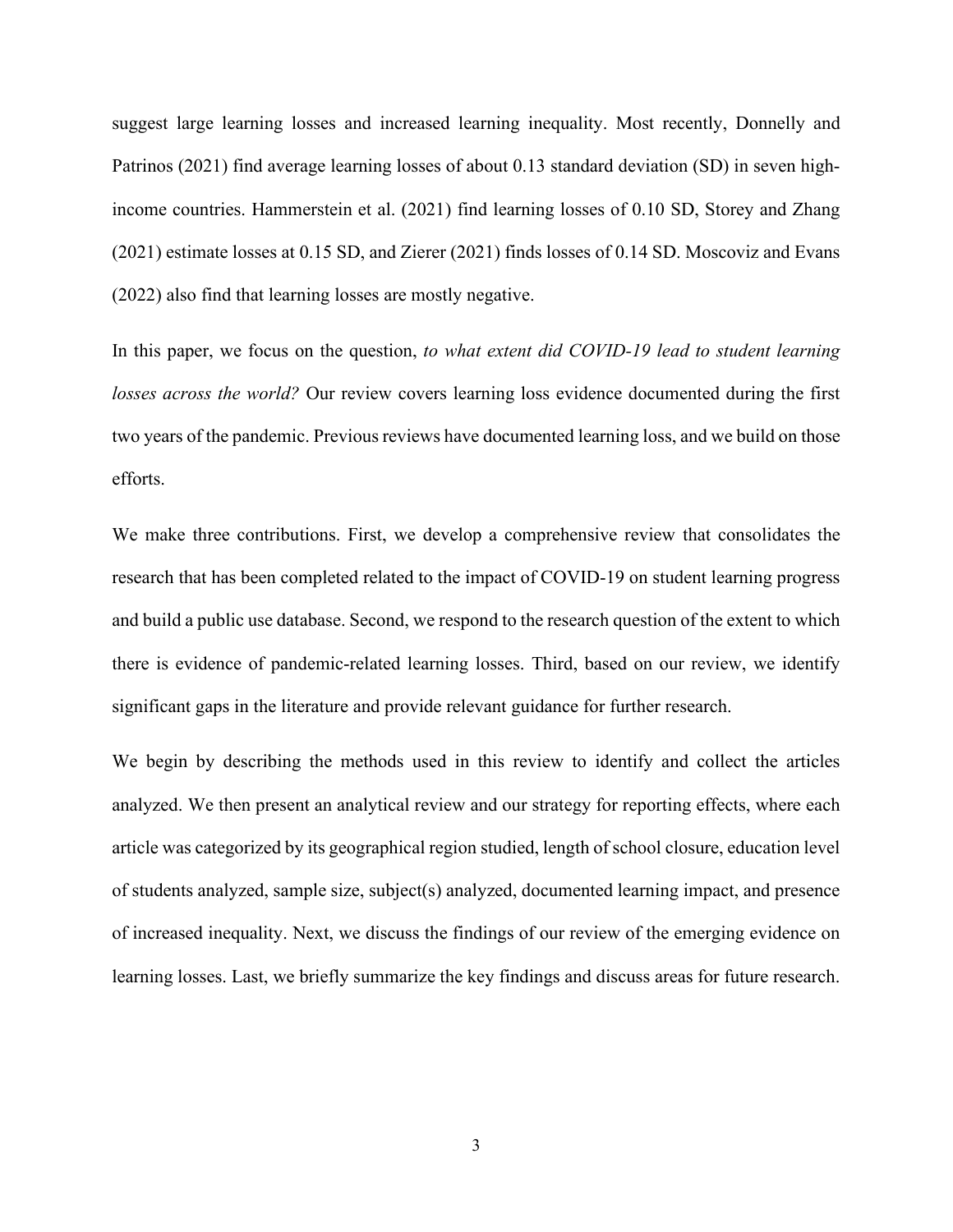suggest large learning losses and increased learning inequality. Most recently, Donnelly and Patrinos (2021) find average learning losses of about 0.13 standard deviation (SD) in seven highincome countries. Hammerstein et al. (2021) find learning losses of 0.10 SD, Storey and Zhang (2021) estimate losses at 0.15 SD, and Zierer (2021) finds losses of 0.14 SD. Moscoviz and Evans (2022) also find that learning losses are mostly negative.

In this paper, we focus on the question, *to what extent did COVID-19 lead to student learning losses across the world?* Our review covers learning loss evidence documented during the first two years of the pandemic. Previous reviews have documented learning loss, and we build on those efforts.

We make three contributions. First, we develop a comprehensive review that consolidates the research that has been completed related to the impact of COVID-19 on student learning progress and build a public use database. Second, we respond to the research question of the extent to which there is evidence of pandemic-related learning losses. Third, based on our review, we identify significant gaps in the literature and provide relevant guidance for further research.

We begin by describing the methods used in this review to identify and collect the articles analyzed. We then present an analytical review and our strategy for reporting effects, where each article was categorized by its geographical region studied, length of school closure, education level of students analyzed, sample size, subject(s) analyzed, documented learning impact, and presence of increased inequality. Next, we discuss the findings of our review of the emerging evidence on learning losses. Last, we briefly summarize the key findings and discuss areas for future research.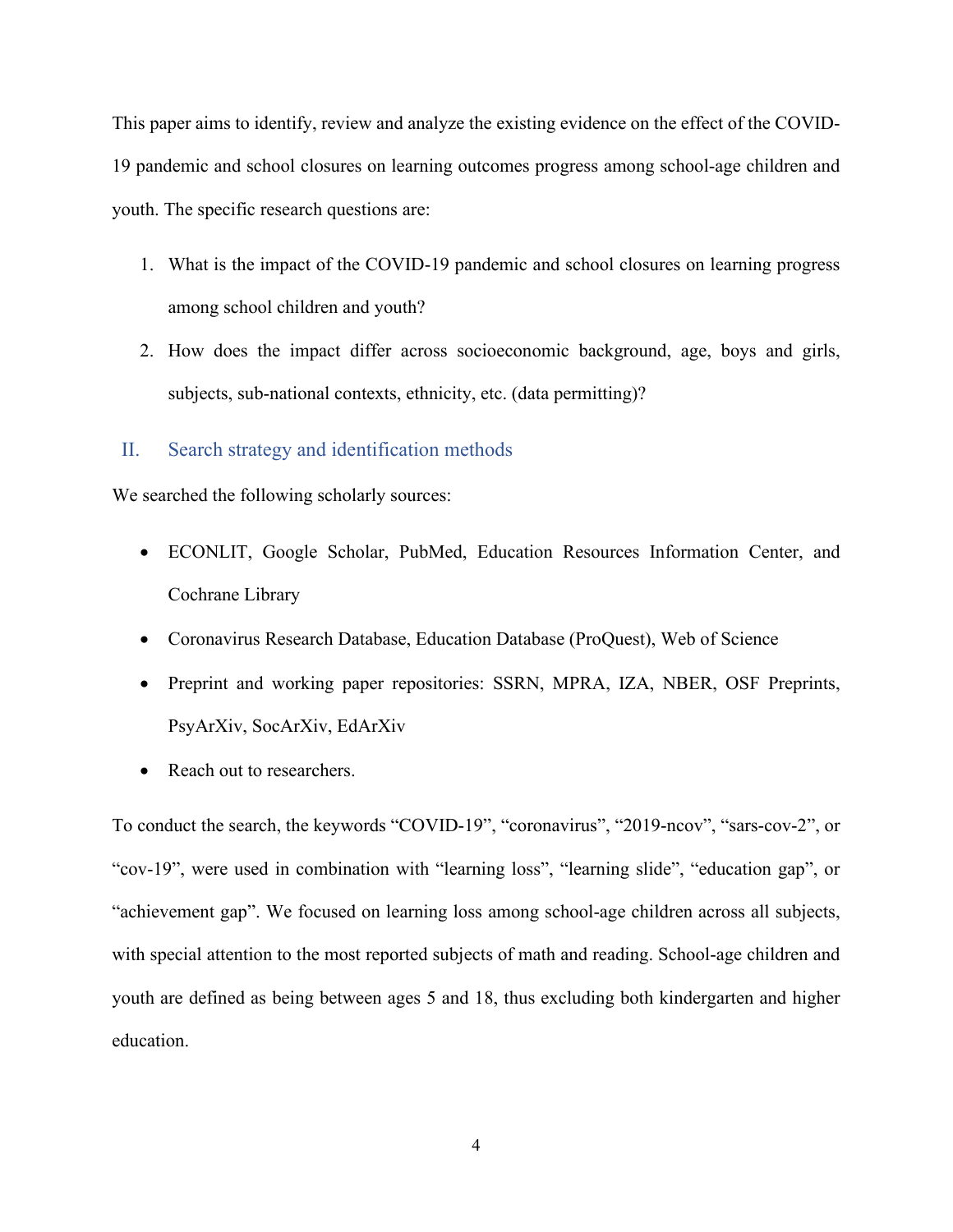This paper aims to identify, review and analyze the existing evidence on the effect of the COVID-19 pandemic and school closures on learning outcomes progress among school-age children and youth. The specific research questions are:

- 1. What is the impact of the COVID-19 pandemic and school closures on learning progress among school children and youth?
- 2. How does the impact differ across socioeconomic background, age, boys and girls, subjects, sub-national contexts, ethnicity, etc. (data permitting)?

#### II. Search strategy and identification methods

We searched the following scholarly sources:

- ECONLIT, Google Scholar, PubMed, Education Resources Information Center, and Cochrane Library
- Coronavirus Research Database, Education Database (ProQuest), Web of Science
- Preprint and working paper repositories: SSRN, MPRA, IZA, NBER, OSF Preprints, PsyArXiv, SocArXiv, EdArXiv
- Reach out to researchers.

To conduct the search, the keywords "COVID-19", "coronavirus", "2019-ncov", "sars-cov-2", or "cov-19", were used in combination with "learning loss", "learning slide", "education gap", or "achievement gap". We focused on learning loss among school-age children across all subjects, with special attention to the most reported subjects of math and reading. School-age children and youth are defined as being between ages 5 and 18, thus excluding both kindergarten and higher education.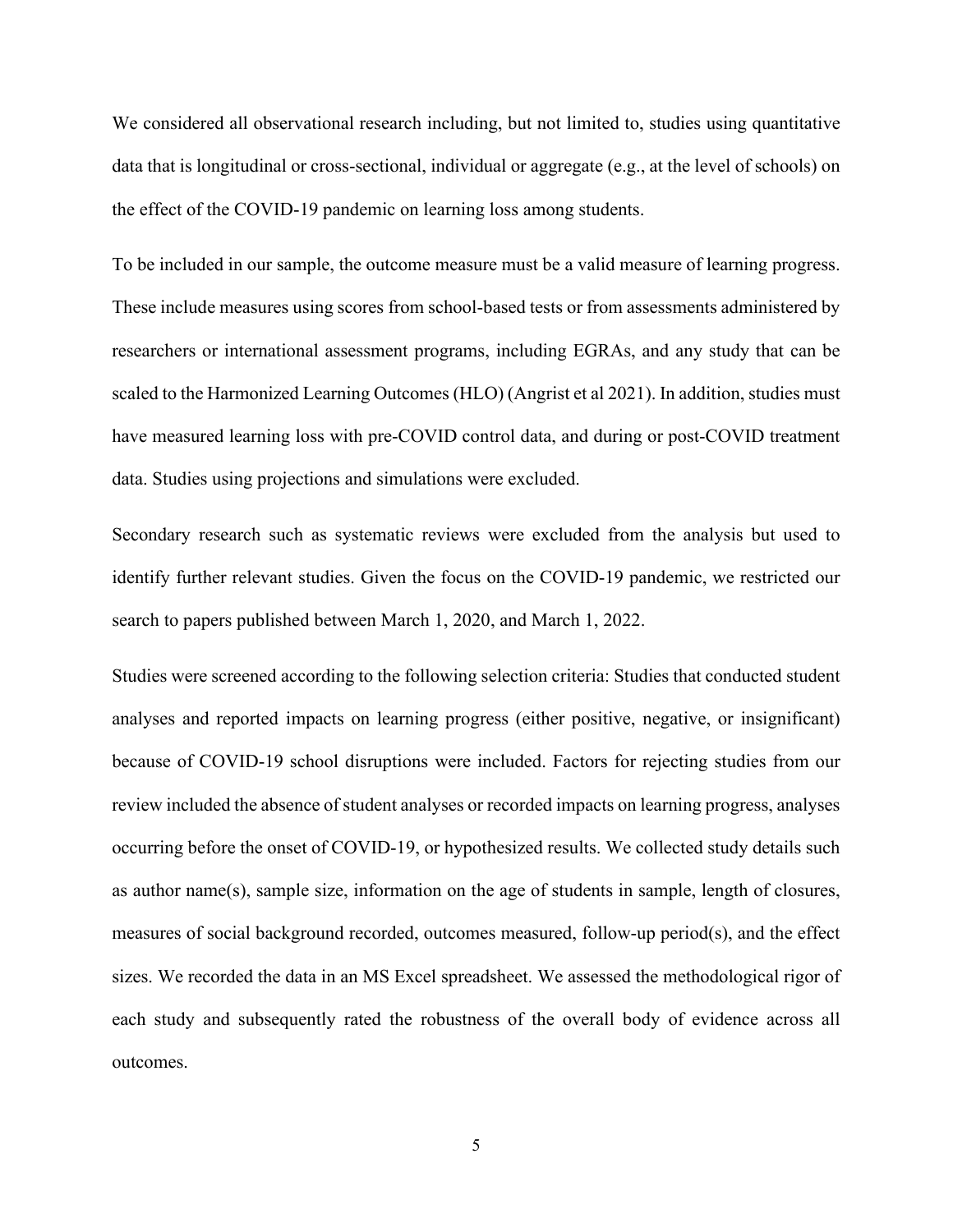We considered all observational research including, but not limited to, studies using quantitative data that is longitudinal or cross-sectional, individual or aggregate (e.g., at the level of schools) on the effect of the COVID-19 pandemic on learning loss among students.

To be included in our sample, the outcome measure must be a valid measure of learning progress. These include measures using scores from school-based tests or from assessments administered by researchers or international assessment programs, including EGRAs, and any study that can be scaled to the Harmonized Learning Outcomes (HLO) (Angrist et al 2021). In addition, studies must have measured learning loss with pre-COVID control data, and during or post-COVID treatment data. Studies using projections and simulations were excluded.

Secondary research such as systematic reviews were excluded from the analysis but used to identify further relevant studies. Given the focus on the COVID-19 pandemic, we restricted our search to papers published between March 1, 2020, and March 1, 2022.

Studies were screened according to the following selection criteria: Studies that conducted student analyses and reported impacts on learning progress (either positive, negative, or insignificant) because of COVID-19 school disruptions were included. Factors for rejecting studies from our review included the absence of student analyses or recorded impacts on learning progress, analyses occurring before the onset of COVID-19, or hypothesized results. We collected study details such as author name(s), sample size, information on the age of students in sample, length of closures, measures of social background recorded, outcomes measured, follow-up period(s), and the effect sizes. We recorded the data in an MS Excel spreadsheet. We assessed the methodological rigor of each study and subsequently rated the robustness of the overall body of evidence across all outcomes.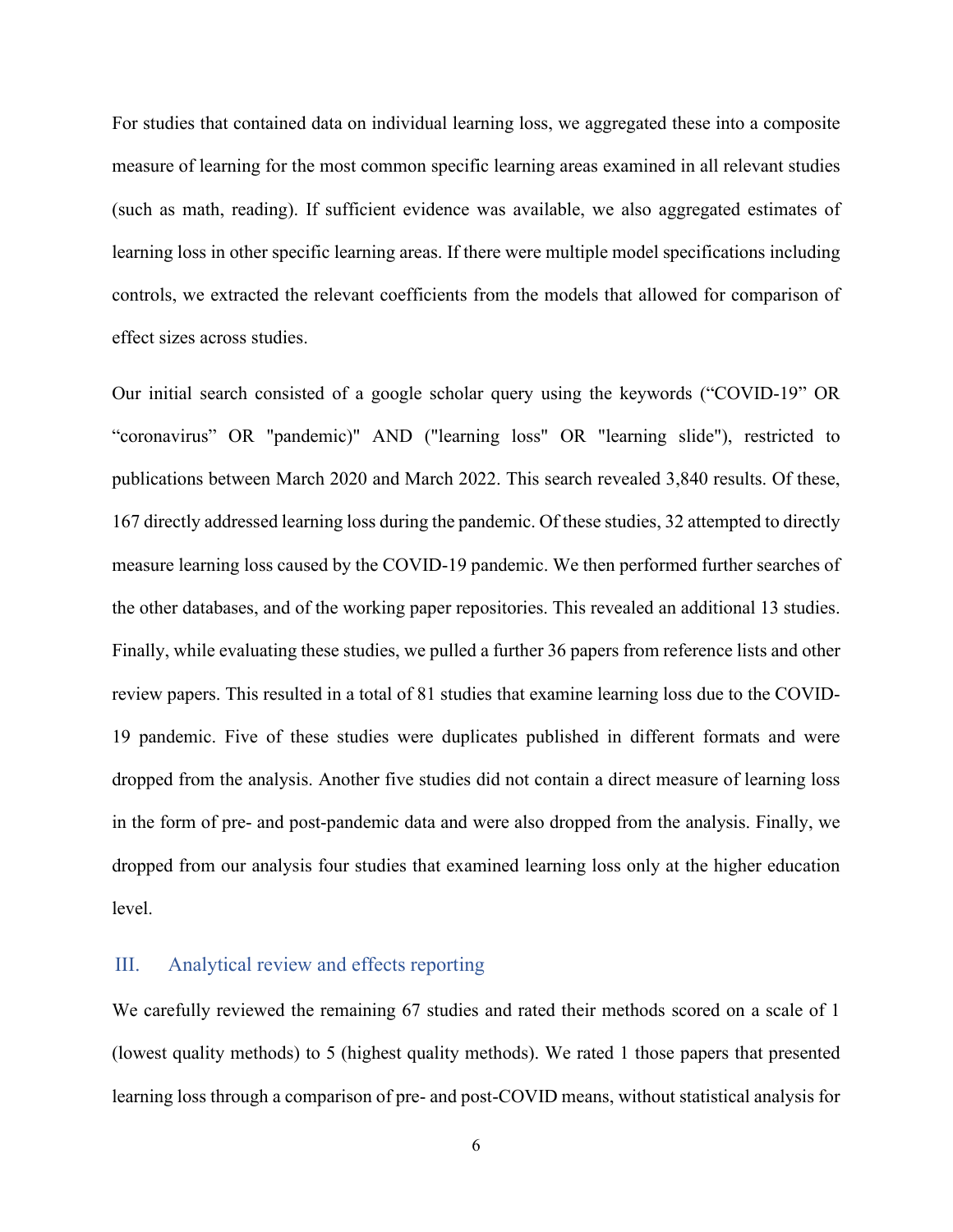For studies that contained data on individual learning loss, we aggregated these into a composite measure of learning for the most common specific learning areas examined in all relevant studies (such as math, reading). If sufficient evidence was available, we also aggregated estimates of learning loss in other specific learning areas. If there were multiple model specifications including controls, we extracted the relevant coefficients from the models that allowed for comparison of effect sizes across studies.

Our initial search consisted of a google scholar query using the keywords ("COVID-19" OR "coronavirus" OR "pandemic)" AND ("learning loss" OR "learning slide"), restricted to publications between March 2020 and March 2022. This search revealed 3,840 results. Of these, 167 directly addressed learning loss during the pandemic. Of these studies, 32 attempted to directly measure learning loss caused by the COVID-19 pandemic. We then performed further searches of the other databases, and of the working paper repositories. This revealed an additional 13 studies. Finally, while evaluating these studies, we pulled a further 36 papers from reference lists and other review papers. This resulted in a total of 81 studies that examine learning loss due to the COVID-19 pandemic. Five of these studies were duplicates published in different formats and were dropped from the analysis. Another five studies did not contain a direct measure of learning loss in the form of pre- and post-pandemic data and were also dropped from the analysis. Finally, we dropped from our analysis four studies that examined learning loss only at the higher education level.

#### III. Analytical review and effects reporting

We carefully reviewed the remaining 67 studies and rated their methods scored on a scale of 1 (lowest quality methods) to 5 (highest quality methods). We rated 1 those papers that presented learning loss through a comparison of pre- and post-COVID means, without statistical analysis for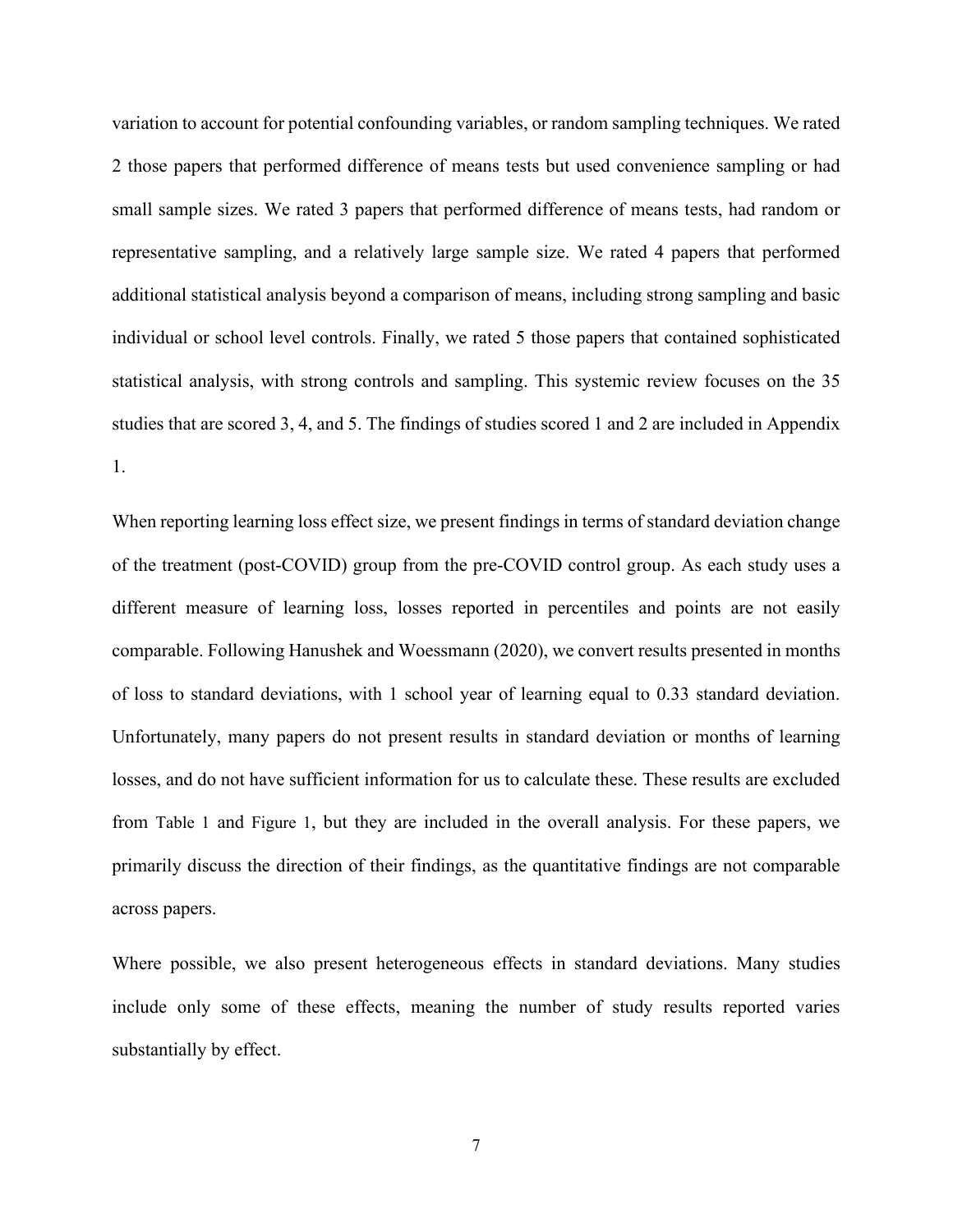variation to account for potential confounding variables, or random sampling techniques. We rated 2 those papers that performed difference of means tests but used convenience sampling or had small sample sizes. We rated 3 papers that performed difference of means tests, had random or representative sampling, and a relatively large sample size. We rated 4 papers that performed additional statistical analysis beyond a comparison of means, including strong sampling and basic individual or school level controls. Finally, we rated 5 those papers that contained sophisticated statistical analysis, with strong controls and sampling. This systemic review focuses on the 35 studies that are scored 3, 4, and 5. The findings of studies scored 1 and 2 are included in Appendix 1.

When reporting learning loss effect size, we present findings in terms of standard deviation change of the treatment (post-COVID) group from the pre-COVID control group. As each study uses a different measure of learning loss, losses reported in percentiles and points are not easily comparable. Following Hanushek and Woessmann (2020), we convert results presented in months of loss to standard deviations, with 1 school year of learning equal to 0.33 standard deviation. Unfortunately, many papers do not present results in standard deviation or months of learning losses, and do not have sufficient information for us to calculate these. These results are excluded from [Table 1](#page-10-0) and [Figure 1,](#page-11-0) but they are included in the overall analysis. For these papers, we primarily discuss the direction of their findings, as the quantitative findings are not comparable across papers.

Where possible, we also present heterogeneous effects in standard deviations. Many studies include only some of these effects, meaning the number of study results reported varies substantially by effect.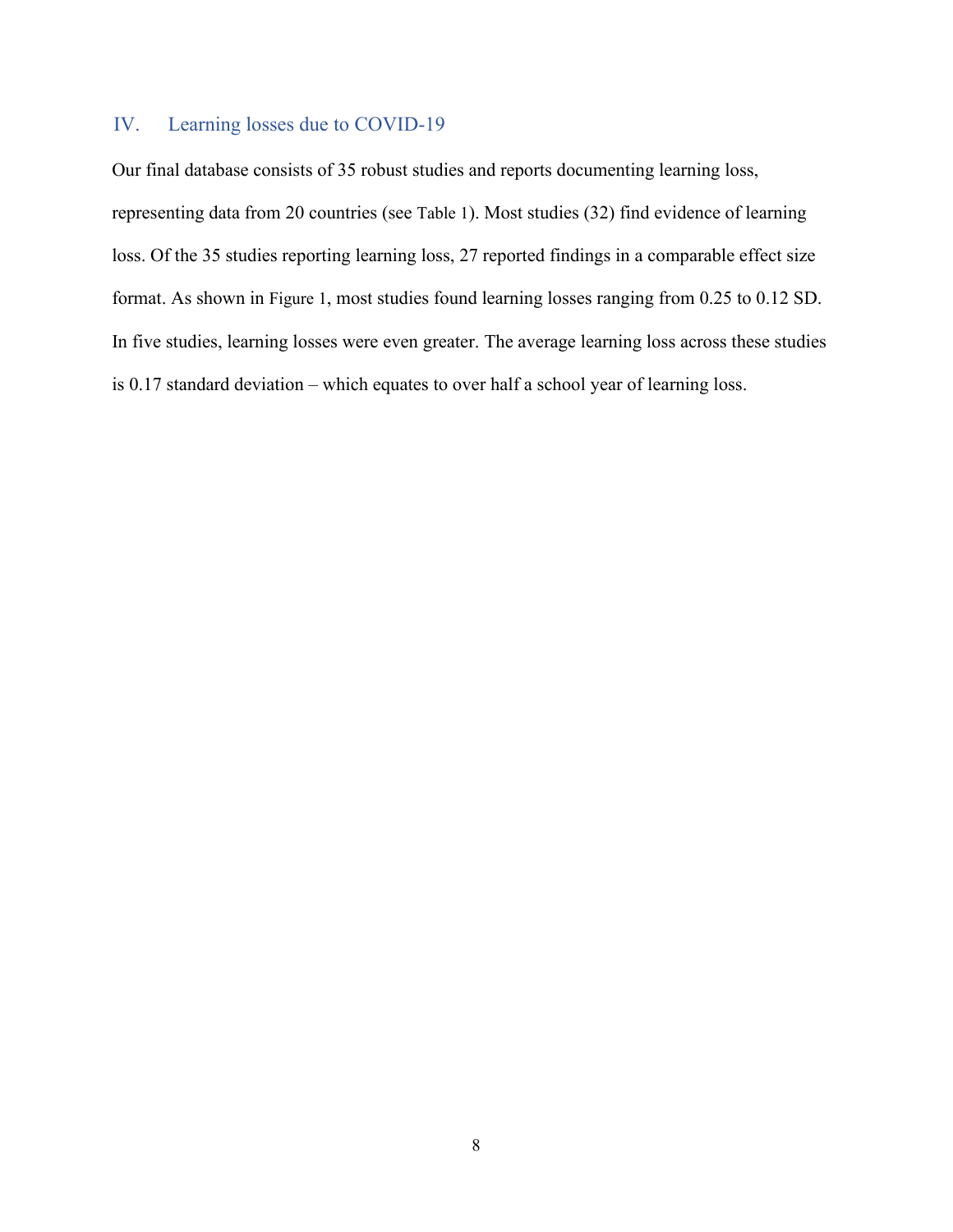#### IV. Learning losses due to COVID-19

Our final database consists of 35 robust studies and reports documenting learning loss, representing data from 20 countries (see [Table 1\)](#page-10-0). Most studies (32) find evidence of learning loss. Of the 35 studies reporting learning loss, 27 reported findings in a comparable effect size format. As shown in [Figure 1,](#page-11-0) most studies found learning losses ranging from 0.25 to 0.12 SD. In five studies, learning losses were even greater. The average learning loss across these studies is 0.17 standard deviation – which equates to over half a school year of learning loss.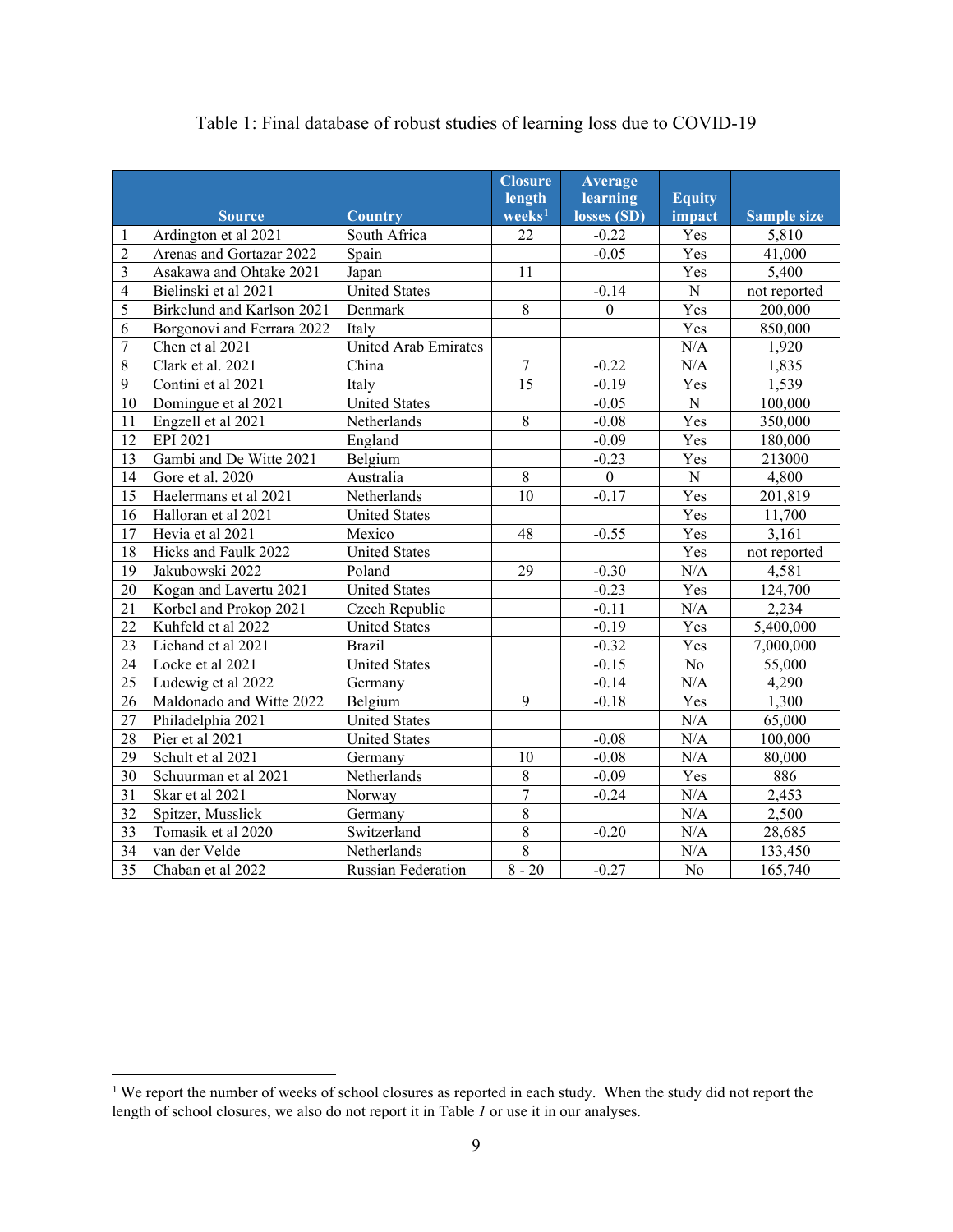<span id="page-10-0"></span>

|                |                            |                           | <b>Closure</b>     | <b>Average</b> |                |                    |
|----------------|----------------------------|---------------------------|--------------------|----------------|----------------|--------------------|
|                |                            |                           | length             | learning       | <b>Equity</b>  |                    |
|                | <b>Source</b>              | <b>Country</b>            | $\mathbf{weeks}^1$ | losses (SD)    | impact         | <b>Sample size</b> |
| $\mathbf{1}$   | Ardington et al 2021       | South Africa              | 22                 | $-0.22$        | Yes            | 5,810              |
| $\overline{2}$ | Arenas and Gortazar 2022   | Spain                     |                    | $-0.05$        | Yes            | 41,000             |
| $\overline{3}$ | Asakawa and Ohtake 2021    | Japan                     | 11                 |                | Yes            | 5,400              |
| $\overline{4}$ | Bielinski et al 2021       | <b>United States</b>      |                    | $-0.14$        | ${\bf N}$      | not reported       |
| 5              | Birkelund and Karlson 2021 | Denmark                   | 8                  | $\overline{0}$ | Yes            | 200,000            |
| 6              | Borgonovi and Ferrara 2022 | Italy                     |                    |                | Yes            | 850,000            |
| $\overline{7}$ | Chen et al 2021            | United Arab Emirates      |                    |                | N/A            | 1,920              |
| 8              | Clark et al. 2021          | China                     | $\overline{7}$     | $-0.22$        | N/A            | 1,835              |
| 9              | Contini et al 2021         | Italy                     | 15                 | $-0.19$        | Yes            | 1,539              |
| 10             | Domingue et al 2021        | <b>United States</b>      |                    | $-0.05$        | $\mathbf N$    | 100,000            |
| 11             | Engzell et al 2021         | Netherlands               | 8                  | $-0.08$        | Yes            | 350,000            |
| 12             | EPI 2021                   | England                   |                    | $-0.09$        | Yes            | 180,000            |
| 13             | Gambi and De Witte 2021    | Belgium                   |                    | $-0.23$        | Yes            | 213000             |
| 14             | Gore et al. 2020           | Australia                 | 8                  | $\overline{0}$ | ${\bf N}$      | 4,800              |
| 15             | Haelermans et al 2021      | Netherlands               | 10                 | $-0.17$        | Yes            | 201,819            |
| 16             | Halloran et al 2021        | <b>United States</b>      |                    |                | Yes            | 11,700             |
| 17             | Hevia et al 2021           | Mexico                    | 48                 | $-0.55$        | Yes            | 3,161              |
| $18\,$         | Hicks and Faulk 2022       | <b>United States</b>      |                    |                | Yes            | not reported       |
| 19             | Jakubowski 2022            | Poland                    | 29                 | $-0.30$        | N/A            | 4,581              |
| 20             | Kogan and Lavertu 2021     | <b>United States</b>      |                    | $-0.23$        | Yes            | 124,700            |
| 21             | Korbel and Prokop 2021     | Czech Republic            |                    | $-0.11$        | N/A            | 2,234              |
| 22             | Kuhfeld et al 2022         | <b>United States</b>      |                    | $-0.19$        | Yes            | 5,400,000          |
| 23             | Lichand et al 2021         | <b>Brazil</b>             |                    | $-0.32$        | Yes            | 7,000,000          |
| 24             | Locke et al 2021           | <b>United States</b>      |                    | $-0.15$        | No             | 55,000             |
| 25             | Ludewig et al 2022         | Germany                   |                    | $-0.14$        | N/A            | 4,290              |
| 26             | Maldonado and Witte 2022   | Belgium                   | 9                  | $-0.18$        | Yes            | 1,300              |
| 27             | Philadelphia 2021          | <b>United States</b>      |                    |                | N/A            | 65,000             |
| 28             | Pier et al 2021            | <b>United States</b>      |                    | $-0.08$        | N/A            | 100,000            |
| 29             | Schult et al 2021          | Germany                   | 10                 | $-0.08$        | N/A            | 80,000             |
| 30             | Schuurman et al 2021       | Netherlands               | $8\,$              | $-0.09$        | Yes            | 886                |
| 31             | Skar et al 2021            | Norway                    | $\overline{7}$     | $-0.24$        | N/A            | 2,453              |
| 32             | Spitzer, Musslick          | Germany                   | $\overline{8}$     |                | $\rm N/A$      | 2,500              |
| 33             | Tomasik et al 2020         | Switzerland               | $\overline{8}$     | $-0.20$        | N/A            | 28,685             |
| 34             | van der Velde              | Netherlands               | $\overline{8}$     |                | N/A            | 133,450            |
| 35             | Chaban et al 2022          | <b>Russian Federation</b> | $8 - 20$           | $-0.27$        | N <sub>o</sub> | 165,740            |

#### Table 1: Final database of robust studies of learning loss due to COVID-19

<span id="page-10-1"></span> We report the number of weeks of school closures as reported in each study. When the study did not report the length of school closures, we also do not report it in [Table](#page-10-0) *1* or use it in our analyses.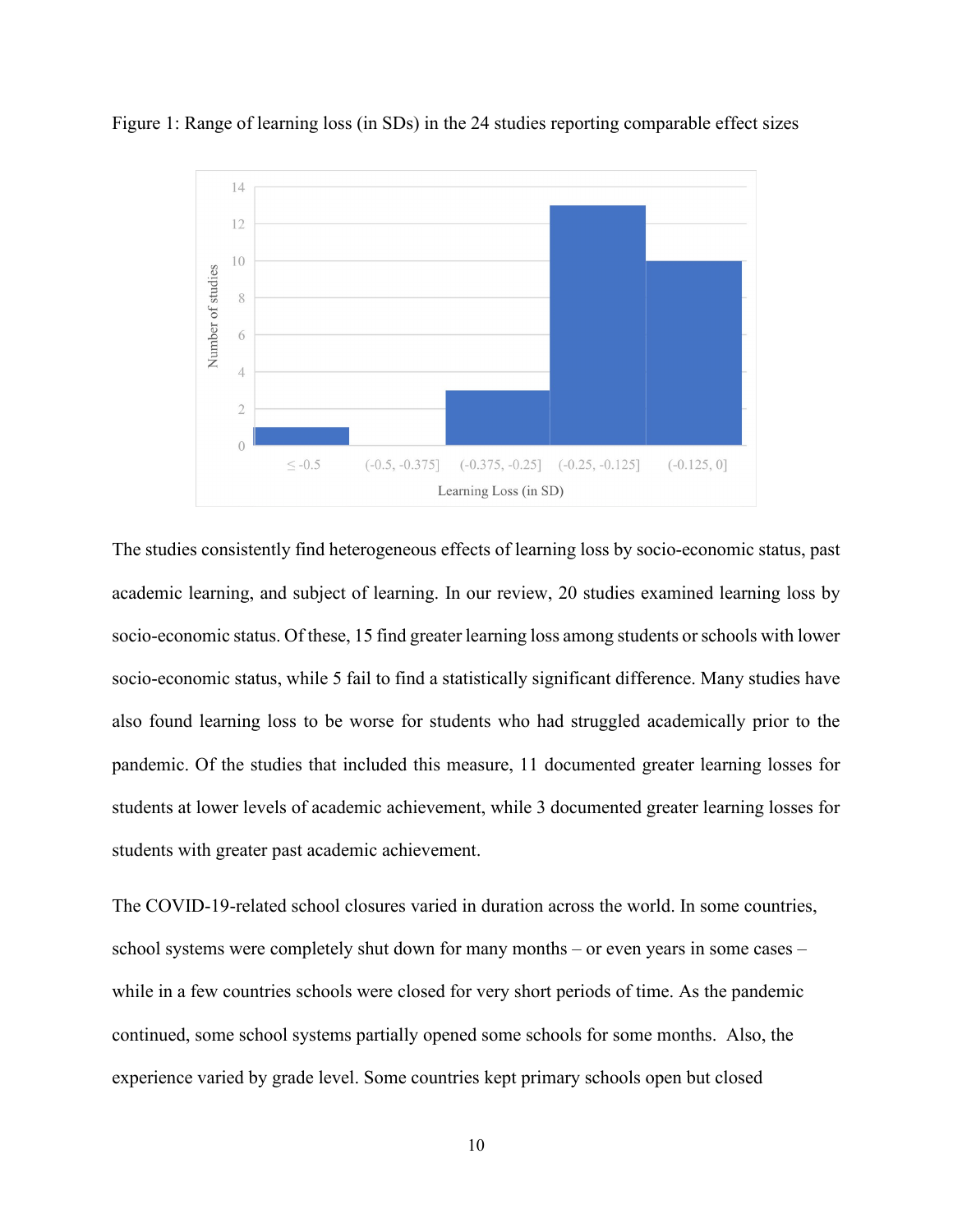

<span id="page-11-0"></span>Figure 1: Range of learning loss (in SDs) in the 24 studies reporting comparable effect sizes

The studies consistently find heterogeneous effects of learning loss by socio-economic status, past academic learning, and subject of learning. In our review, 20 studies examined learning loss by socio-economic status. Of these, 15 find greater learning loss among students or schools with lower socio-economic status, while 5 fail to find a statistically significant difference. Many studies have also found learning loss to be worse for students who had struggled academically prior to the pandemic. Of the studies that included this measure, 11 documented greater learning losses for students at lower levels of academic achievement, while 3 documented greater learning losses for students with greater past academic achievement.

The COVID-19-related school closures varied in duration across the world. In some countries, school systems were completely shut down for many months – or even years in some cases – while in a few countries schools were closed for very short periods of time. As the pandemic continued, some school systems partially opened some schools for some months. Also, the experience varied by grade level. Some countries kept primary schools open but closed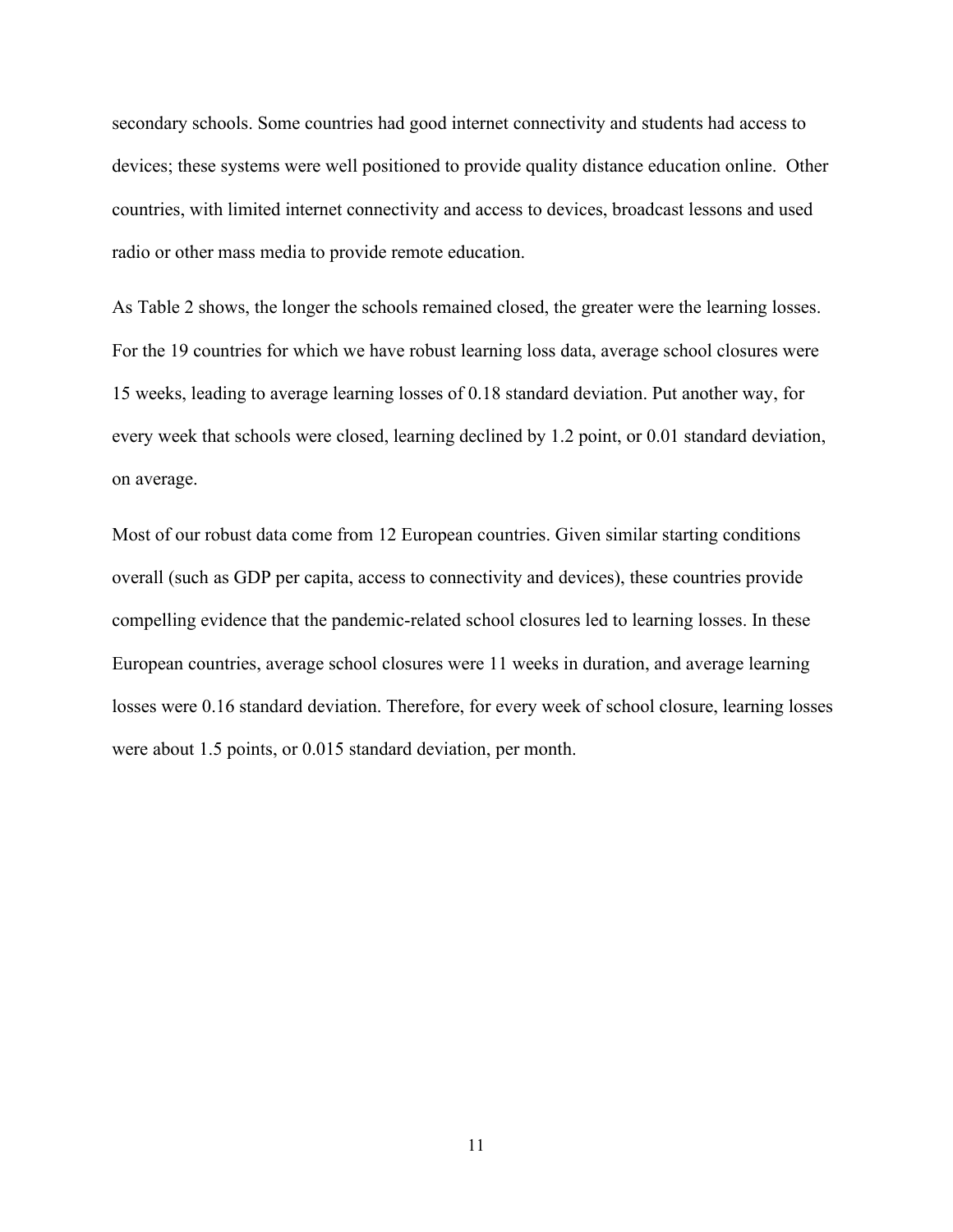secondary schools. Some countries had good internet connectivity and students had access to devices; these systems were well positioned to provide quality distance education online. Other countries, with limited internet connectivity and access to devices, broadcast lessons and used radio or other mass media to provide remote education.

As [Table 2](#page-13-0) shows, the longer the schools remained closed, the greater were the learning losses. For the 19 countries for which we have robust learning loss data, average school closures were 15 weeks, leading to average learning losses of 0.18 standard deviation. Put another way, for every week that schools were closed, learning declined by 1.2 point, or 0.01 standard deviation, on average.

Most of our robust data come from 12 European countries. Given similar starting conditions overall (such as GDP per capita, access to connectivity and devices), these countries provide compelling evidence that the pandemic-related school closures led to learning losses. In these European countries, average school closures were 11 weeks in duration, and average learning losses were 0.16 standard deviation. Therefore, for every week of school closure, learning losses were about 1.5 points, or 0.015 standard deviation, per month.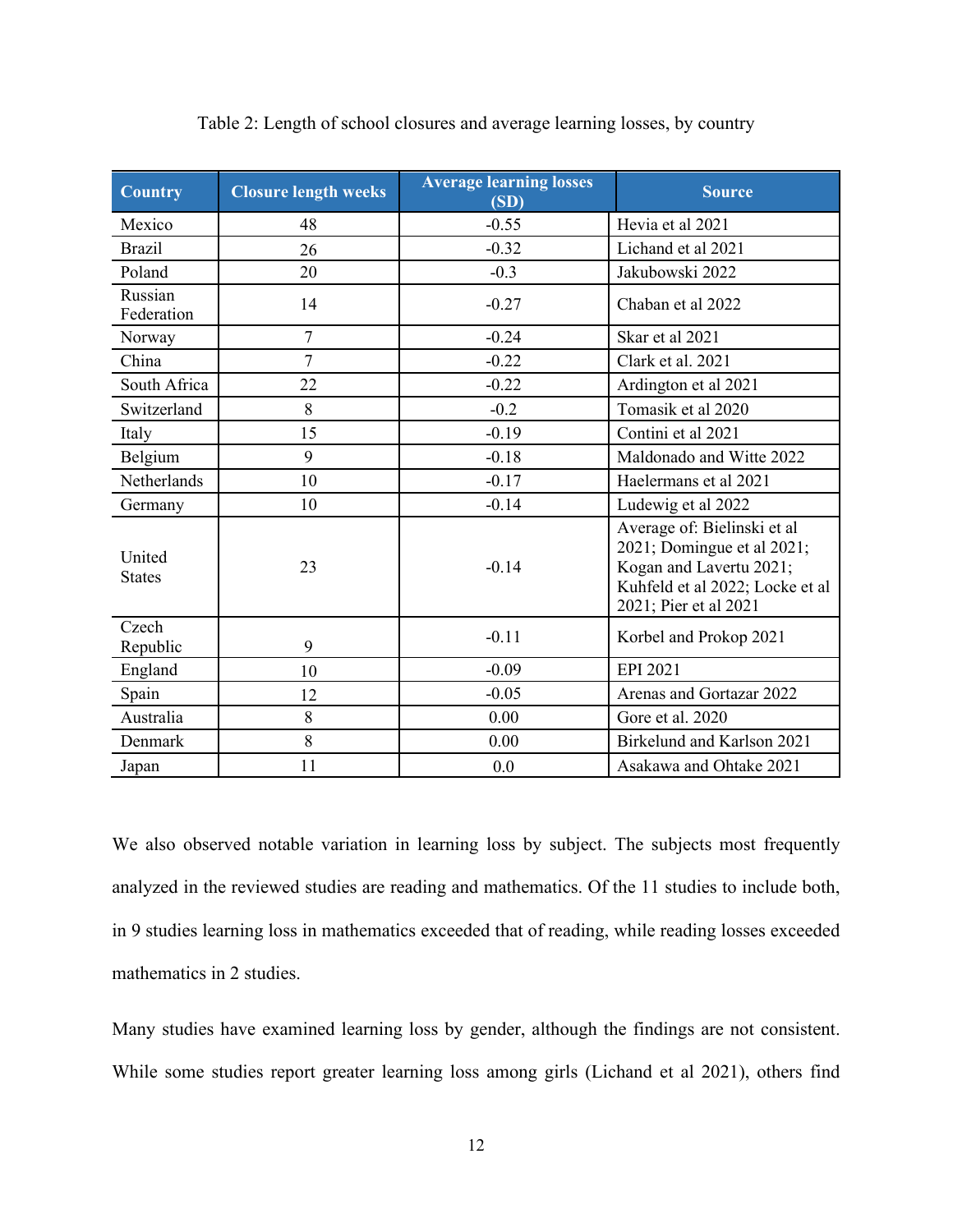<span id="page-13-0"></span>

| <b>Country</b>          | <b>Closure length weeks</b> | <b>Average learning losses</b><br>(SD) | <b>Source</b>                                                                                                                                    |
|-------------------------|-----------------------------|----------------------------------------|--------------------------------------------------------------------------------------------------------------------------------------------------|
| Mexico                  | 48                          | $-0.55$                                | Hevia et al 2021                                                                                                                                 |
| <b>Brazil</b>           | 26                          | $-0.32$                                | Lichand et al 2021                                                                                                                               |
| Poland                  | 20                          | $-0.3$                                 | Jakubowski 2022                                                                                                                                  |
| Russian<br>Federation   | 14                          | $-0.27$                                | Chaban et al 2022                                                                                                                                |
| Norway                  | $\overline{7}$              | $-0.24$                                | Skar et al 2021                                                                                                                                  |
| China                   | $\overline{7}$              | $-0.22$                                | Clark et al. 2021                                                                                                                                |
| South Africa            | 22                          | $-0.22$                                | Ardington et al 2021                                                                                                                             |
| Switzerland             | 8                           | $-0.2$                                 | Tomasik et al 2020                                                                                                                               |
| Italy                   | 15                          | $-0.19$                                | Contini et al 2021                                                                                                                               |
| Belgium                 | 9                           | $-0.18$                                | Maldonado and Witte 2022                                                                                                                         |
| Netherlands             | 10                          | $-0.17$                                | Haelermans et al 2021                                                                                                                            |
| Germany                 | 10                          | $-0.14$                                | Ludewig et al 2022                                                                                                                               |
| United<br><b>States</b> | 23                          | $-0.14$                                | Average of: Bielinski et al<br>2021; Domingue et al 2021;<br>Kogan and Lavertu 2021;<br>Kuhfeld et al 2022; Locke et al<br>2021; Pier et al 2021 |
| Czech<br>Republic       | 9                           | $-0.11$                                | Korbel and Prokop 2021                                                                                                                           |
| England                 | 10                          | $-0.09$                                | EPI 2021                                                                                                                                         |
| Spain                   | 12                          | $-0.05$                                | Arenas and Gortazar 2022                                                                                                                         |
| Australia               | 8                           | 0.00                                   | Gore et al. 2020                                                                                                                                 |
| Denmark                 | 8                           | 0.00                                   | Birkelund and Karlson 2021                                                                                                                       |
| Japan                   | 11                          | 0.0                                    | Asakawa and Ohtake 2021                                                                                                                          |

Table 2: Length of school closures and average learning losses, by country

We also observed notable variation in learning loss by subject. The subjects most frequently analyzed in the reviewed studies are reading and mathematics. Of the 11 studies to include both, in 9 studies learning loss in mathematics exceeded that of reading, while reading losses exceeded mathematics in 2 studies.

Many studies have examined learning loss by gender, although the findings are not consistent. While some studies report greater learning loss among girls (Lichand et al 2021), others find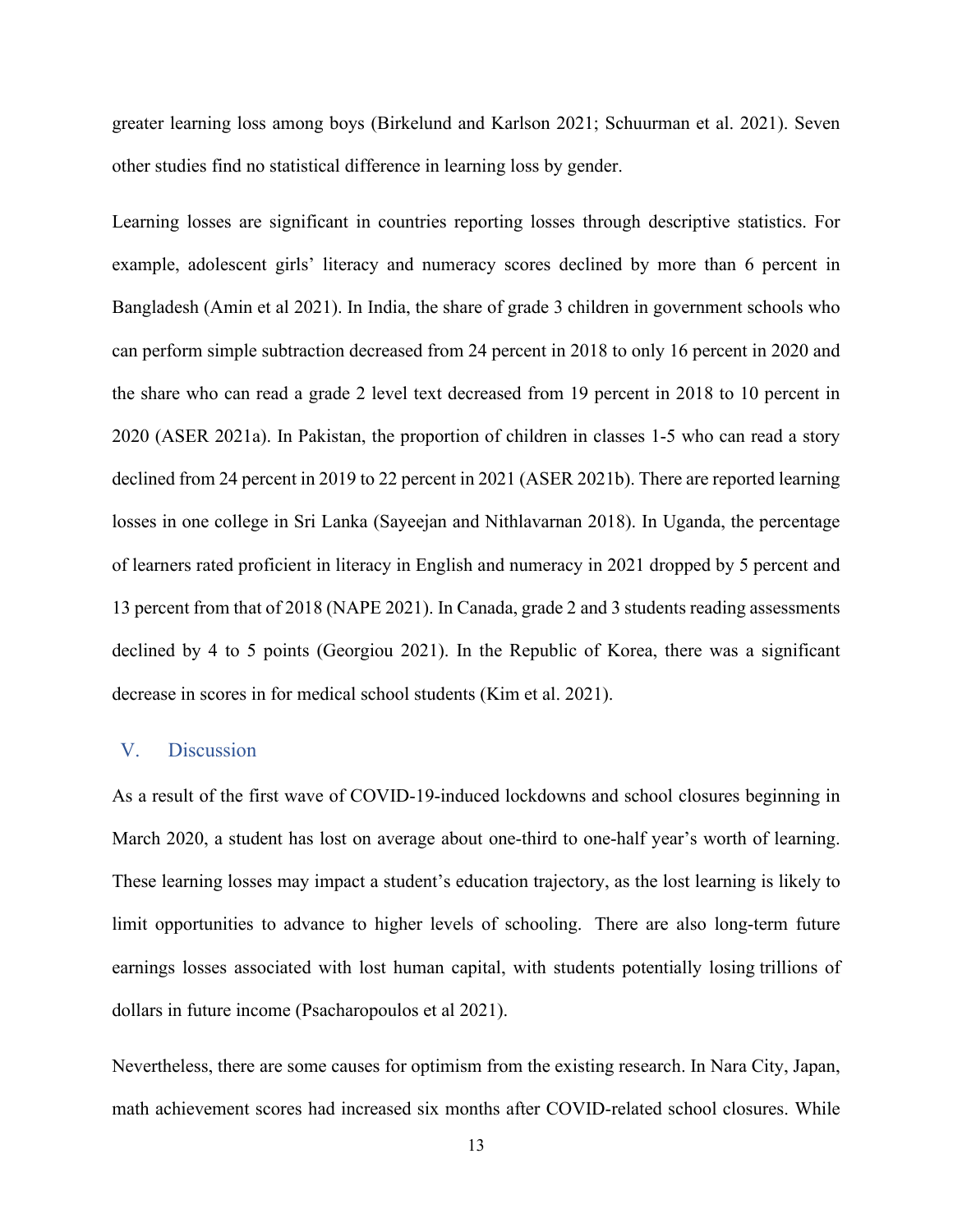greater learning loss among boys (Birkelund and Karlson 2021; Schuurman et al. 2021). Seven other studies find no statistical difference in learning loss by gender.

Learning losses are significant in countries reporting losses through descriptive statistics. For example, adolescent girls' literacy and numeracy scores declined by more than 6 percent in Bangladesh (Amin et al 2021). In India, the share of grade 3 children in government schools who can perform simple subtraction decreased from 24 percent in 2018 to only 16 percent in 2020 and the share who can read a grade 2 level text decreased from 19 percent in 2018 to 10 percent in 2020 (ASER 2021a). In Pakistan, the proportion of children in classes 1-5 who can read a story declined from 24 percent in 2019 to 22 percent in 2021 (ASER 2021b). There are reported learning losses in one college in Sri Lanka (Sayeejan and Nithlavarnan 2018). In Uganda, the percentage of learners rated proficient in literacy in English and numeracy in 2021 dropped by 5 percent and 13 percent from that of 2018 (NAPE 2021). In Canada, grade 2 and 3 students reading assessments declined by 4 to 5 points (Georgiou 2021). In the Republic of Korea, there was a significant decrease in scores in for medical school students (Kim et al. 2021).

#### V. Discussion

As a result of the first wave of COVID-19-induced lockdowns and school closures beginning in March 2020, a student has lost on average about one-third to one-half year's worth of learning. These learning losses may impact a student's education trajectory, as the lost learning is likely to limit opportunities to advance to higher levels of schooling. There are also long-term future earnings losses associated with lost human capital, with students potentially losing trillions of dollars in future income (Psacharopoulos et al 2021).

Nevertheless, there are some causes for optimism from the existing research. In Nara City, Japan, math achievement scores had increased six months after COVID-related school closures. While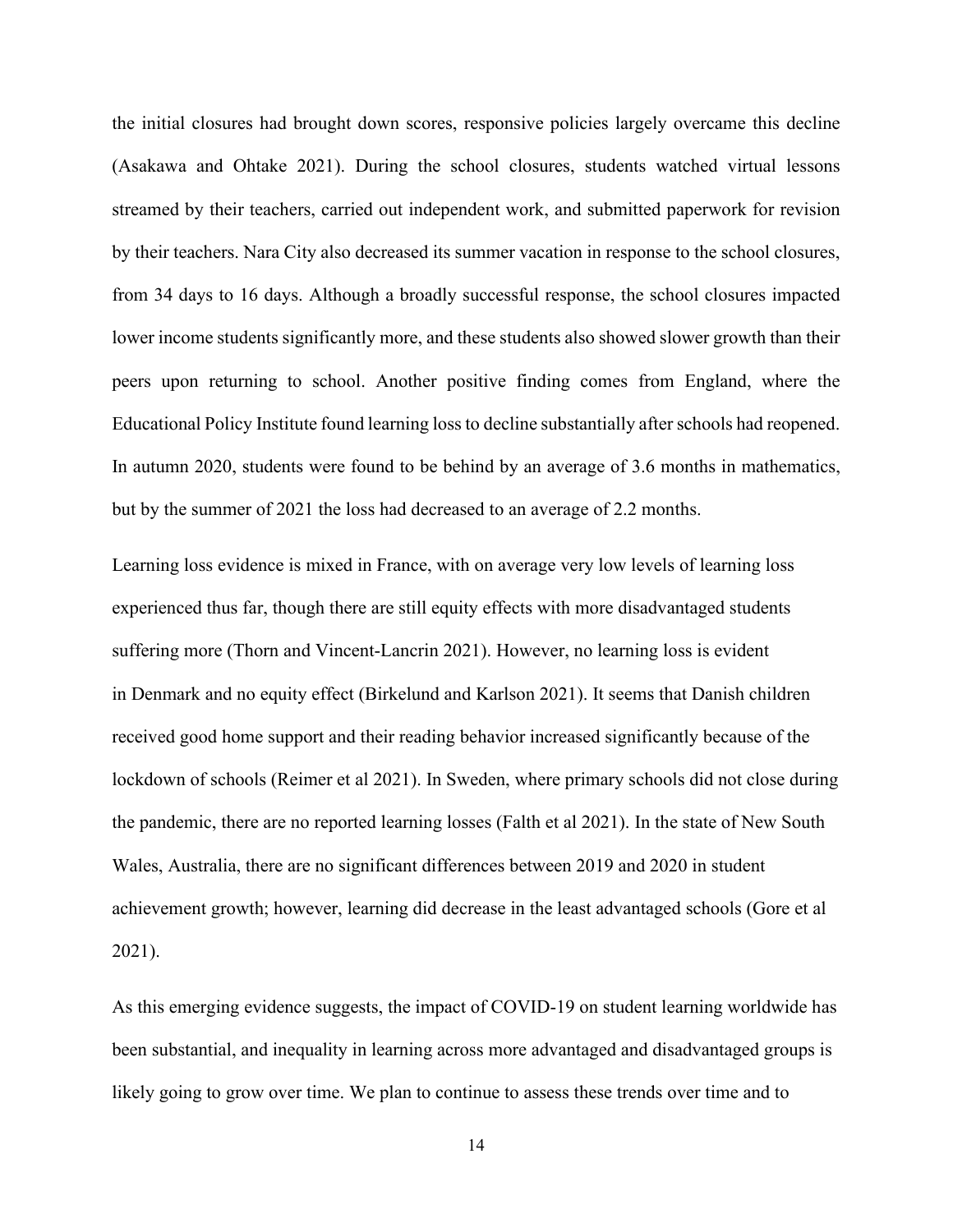the initial closures had brought down scores, responsive policies largely overcame this decline (Asakawa and Ohtake 2021). During the school closures, students watched virtual lessons streamed by their teachers, carried out independent work, and submitted paperwork for revision by their teachers. Nara City also decreased its summer vacation in response to the school closures, from 34 days to 16 days. Although a broadly successful response, the school closures impacted lower income students significantly more, and these students also showed slower growth than their peers upon returning to school. Another positive finding comes from England, where the Educational Policy Institute found learning loss to decline substantially after schools had reopened. In autumn 2020, students were found to be behind by an average of 3.6 months in mathematics, but by the summer of 2021 the loss had decreased to an average of 2.2 months.

Learning loss evidence is mixed in France, with on average very low levels of learning loss experienced thus far, though there are still equity effects with more disadvantaged students suffering more (Thorn and Vincent-Lancrin 2021). However, no learning loss is evident in Denmark and no equity effect (Birkelund and Karlson 2021). It seems that Danish children received good home support and their reading behavior increased significantly because of the lockdown of schools (Reimer et al 2021). In Sweden, where primary schools did not close during the pandemic, there are no reported learning losses (Falth et al 2021). In the state of New South Wales, Australia, there are no significant differences between 2019 and 2020 in student achievement growth; however, learning did decrease in the least advantaged schools (Gore et al 2021).

As this emerging evidence suggests, the impact of COVID-19 on student learning worldwide has been substantial, and inequality in learning across more advantaged and disadvantaged groups is likely going to grow over time. We plan to continue to assess these trends over time and to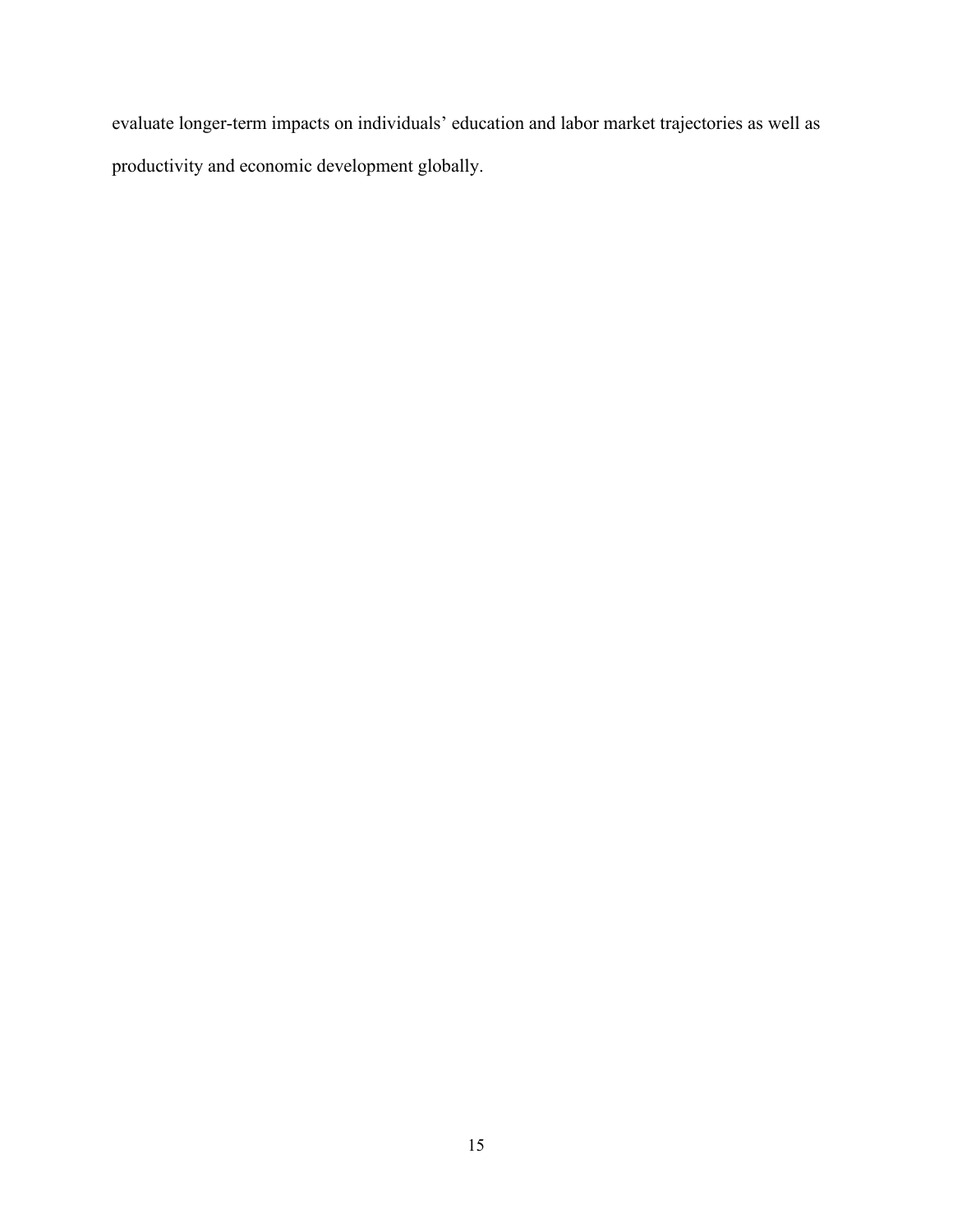evaluate longer-term impacts on individuals' education and labor market trajectories as well as productivity and economic development globally.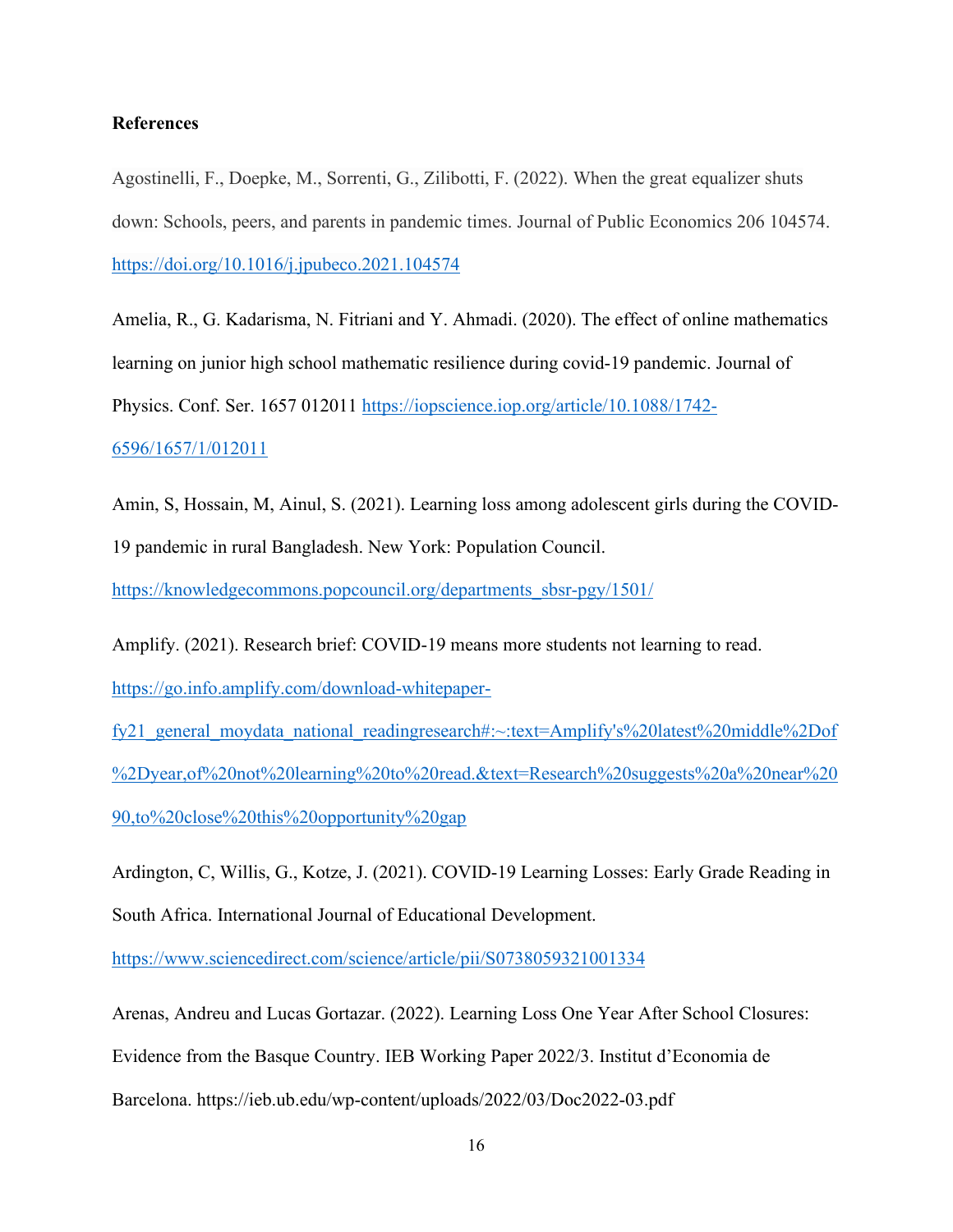#### **References**

Agostinelli, F., Doepke, M., Sorrenti, G., Zilibotti, F. (2022). When the great equalizer shuts down: Schools, peers, and parents in pandemic times. Journal of Public Economics 206 104574. <https://doi.org/10.1016/j.jpubeco.2021.104574>

Amelia, R., G. Kadarisma, N. Fitriani and Y. Ahmadi. (2020). The effect of online mathematics learning on junior high school mathematic resilience during covid-19 pandemic. Journal of Physics. Conf. Ser. 1657 012011 [https://iopscience.iop.org/article/10.1088/1742-](https://iopscience.iop.org/article/10.1088/1742-6596/1657/1/012011) [6596/1657/1/012011](https://iopscience.iop.org/article/10.1088/1742-6596/1657/1/012011)

Amin, S, Hossain, M, Ainul, S. (2021). Learning loss among adolescent girls during the COVID-19 pandemic in rural Bangladesh. New York: Population Council.

[https://knowledgecommons.popcouncil.org/departments\\_sbsr-pgy/1501/](https://knowledgecommons.popcouncil.org/departments_sbsr-pgy/1501/)

Amplify. (2021). Research brief: COVID-19 means more students not learning to read.

[https://go.info.amplify.com/download-whitepaper-](https://go.info.amplify.com/download-whitepaper-fy21_general_moydata_national_readingresearch#:%7E:text=Amplify)

fy21 general moydata national readingresearch#:~:text=Amplify's%20latest%20middle%2Dof [%2Dyear,of%20not%20learning%20to%20read.&text=Research%20suggests%20a%20near%20](https://go.info.amplify.com/download-whitepaper-fy21_general_moydata_national_readingresearch#:%7E:text=Amplify) [90,to%20close%20this%20opportunity%20gap](https://go.info.amplify.com/download-whitepaper-fy21_general_moydata_national_readingresearch#:%7E:text=Amplify)

Ardington, C, Willis, G., Kotze, J. (2021). COVID-19 Learning Losses: Early Grade Reading in South Africa. International Journal of Educational Development.

<https://www.sciencedirect.com/science/article/pii/S0738059321001334>

Arenas, Andreu and Lucas Gortazar. (2022). Learning Loss One Year After School Closures: Evidence from the Basque Country. IEB Working Paper 2022/3. Institut d'Economia de Barcelona. https://ieb.ub.edu/wp-content/uploads/2022/03/Doc2022-03.pdf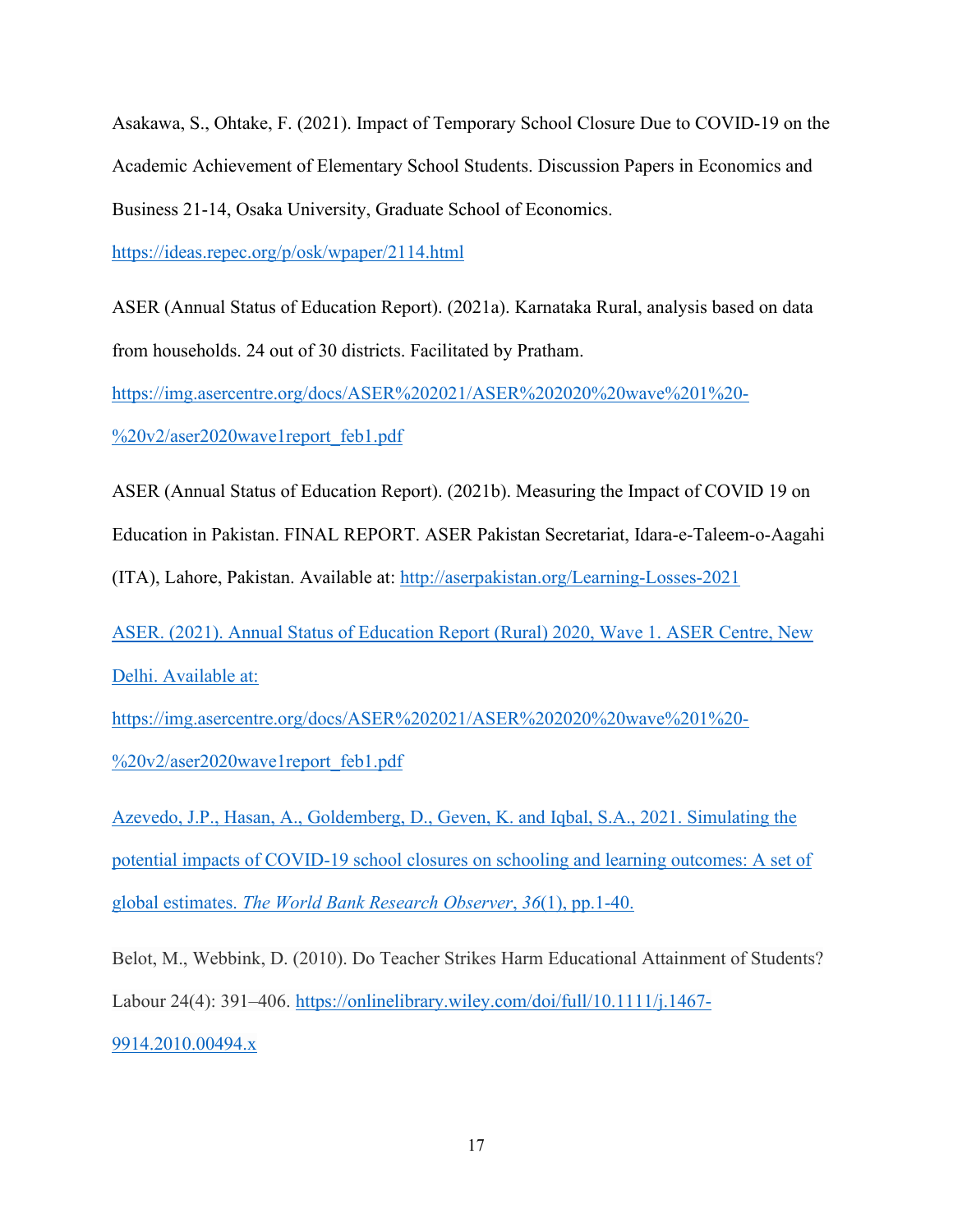Asakawa, S., Ohtake, F. (2021). Impact of Temporary School Closure Due to COVID-19 on the Academic Achievement of Elementary School Students. Discussion Papers in Economics and Business 21-14, Osaka University, Graduate School of Economics.

<https://ideas.repec.org/p/osk/wpaper/2114.html>

ASER (Annual Status of Education Report). (2021a). Karnataka Rural, analysis based on data from households. 24 out of 30 districts. Facilitated by Pratham.

[https://img.asercentre.org/docs/ASER%202021/ASER%202020%20wave%201%20-](https://img.asercentre.org/docs/ASER%202021/ASER%202020%20wave%201%20-%20v2/aser2020wave1report_feb1.pdf)

[%20v2/aser2020wave1report\\_feb1.pdf](https://img.asercentre.org/docs/ASER%202021/ASER%202020%20wave%201%20-%20v2/aser2020wave1report_feb1.pdf)

ASER (Annual Status of Education Report). (2021b). Measuring the Impact of COVID 19 on

Education in Pakistan. FINAL REPORT. ASER Pakistan Secretariat, Idara-e-Taleem-o-Aagahi

(ITA), Lahore, Pakistan. Available at:<http://aserpakistan.org/Learning-Losses-2021>

ASER. (2021). Annual Status of Education Report (Rural) 2020, Wave 1. ASER Centre, New Delhi. Available at:

[https://img.asercentre.org/docs/ASER%202021/ASER%202020%20wave%201%20-](https://img.asercentre.org/docs/ASER%202021/ASER%202020%20wave%201%20-%20v2/aser2020wave1report_feb1.pdf) [%20v2/aser2020wave1report\\_feb1.pdf](https://img.asercentre.org/docs/ASER%202021/ASER%202020%20wave%201%20-%20v2/aser2020wave1report_feb1.pdf)

Azevedo, J.P., Hasan, A., Goldemberg, D., Geven, K. and Iqbal, S.A., 2021. Simulating the potential impacts of COVID-19 school closures on schooling and learning outcomes: A set of global estimates. *The World Bank Research Observer*, *36*(1), pp.1-40.

Belot, M., Webbink, D. (2010). Do Teacher Strikes Harm Educational Attainment of Students? Labour 24(4): 391–406. [https://onlinelibrary.wiley.com/doi/full/10.1111/j.1467-](https://onlinelibrary.wiley.com/doi/full/10.1111/j.1467-9914.2010.00494.x) [9914.2010.00494.x](https://onlinelibrary.wiley.com/doi/full/10.1111/j.1467-9914.2010.00494.x)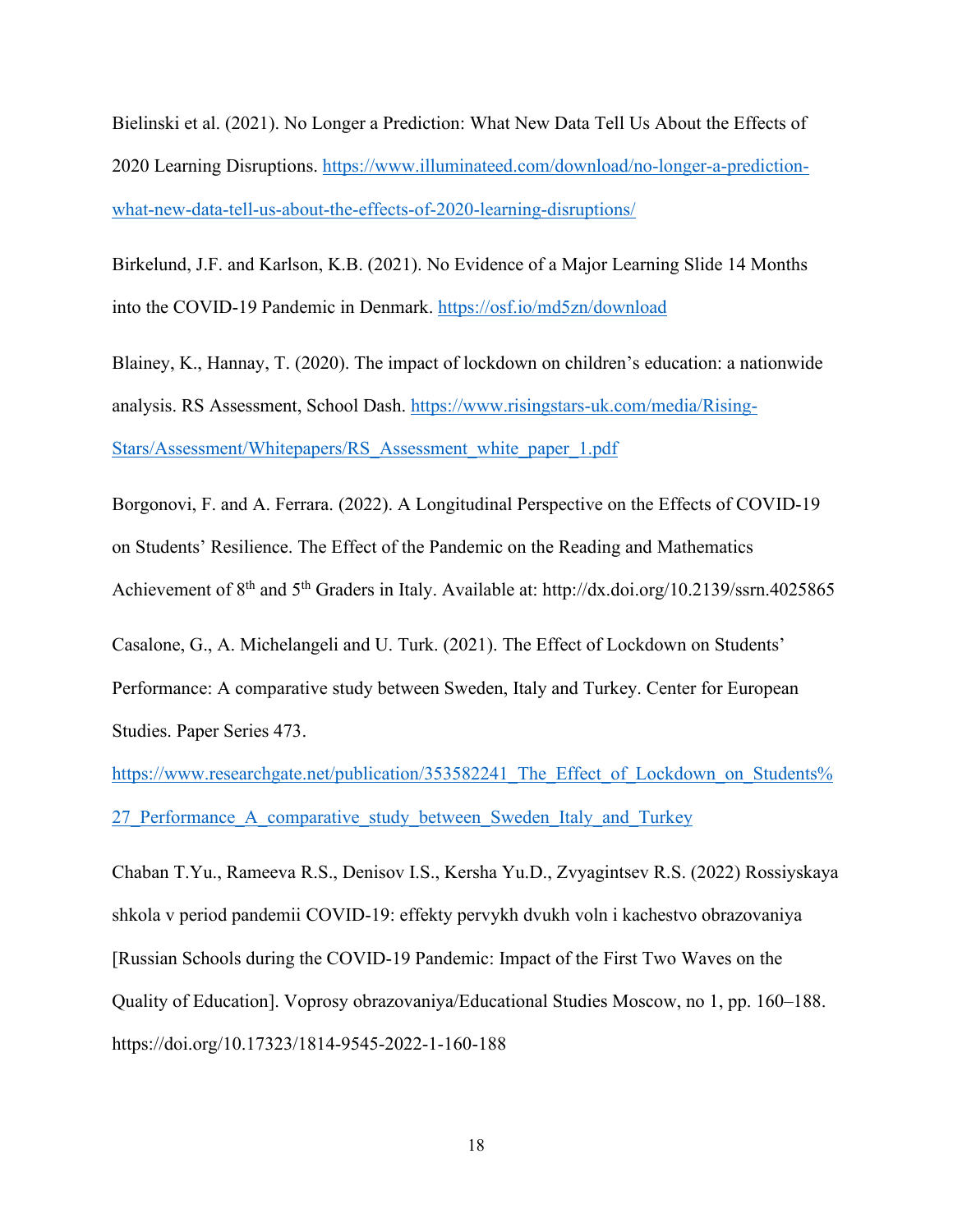Bielinski et al. (2021). No Longer a Prediction: What New Data Tell Us About the Effects of 2020 Learning Disruptions. [https://www.illuminateed.com/download/no-longer-a-prediction](https://www.illuminateed.com/download/no-longer-a-prediction-what-new-data-tell-us-about-the-effects-of-2020-learning-disruptions/)[what-new-data-tell-us-about-the-effects-of-2020-learning-disruptions/](https://www.illuminateed.com/download/no-longer-a-prediction-what-new-data-tell-us-about-the-effects-of-2020-learning-disruptions/)

Birkelund, J.F. and Karlson, K.B. (2021). No Evidence of a Major Learning Slide 14 Months into the COVID-19 Pandemic in Denmark.<https://osf.io/md5zn/download>

Blainey, K., Hannay, T. (2020). The impact of lockdown on children's education: a nationwide analysis. RS Assessment, School Dash. [https://www.risingstars-uk.com/media/Rising-](https://www.risingstars-uk.com/media/Rising-Stars/Assessment/Whitepapers/RS_Assessment_white_paper_1.pdf)[Stars/Assessment/Whitepapers/RS\\_Assessment\\_white\\_paper\\_1.pdf](https://www.risingstars-uk.com/media/Rising-Stars/Assessment/Whitepapers/RS_Assessment_white_paper_1.pdf)

Borgonovi, F. and A. Ferrara. (2022). A Longitudinal Perspective on the Effects of COVID-19 on Students' Resilience. The Effect of the Pandemic on the Reading and Mathematics Achievement of 8<sup>th</sup> and 5<sup>th</sup> Graders in Italy. Available at: http://dx.doi.org/10.2139/ssrn.4025865

Casalone, G., A. Michelangeli and U. Turk. (2021). The Effect of Lockdown on Students' Performance: A comparative study between Sweden, Italy and Turkey. Center for European Studies. Paper Series 473.

https://www.researchgate.net/publication/353582241 The Effect of Lockdown on Students% [27\\_Performance\\_A\\_comparative\\_study\\_between\\_Sweden\\_Italy\\_and\\_Turkey](https://www.researchgate.net/publication/353582241_The_Effect_of_Lockdown_on_Students%27_Performance_A_comparative_study_between_Sweden_Italy_and_Turkey)

Chaban T.Yu., Rameeva R.S., Denisov I.S., Kersha Yu.D., Zvyagintsev R.S. (2022) Rossiyskaya shkola v period pandemii COVID-19: effekty pervykh dvukh voln i kachestvo obrazovaniya [Russian Schools during the COVID-19 Pandemic: Impact of the First Two Waves on the Quality of Education]. Voprosy obrazovaniya/Educational Studies Moscow, no 1, pp. 160–188. https://doi.org/10.17323/1814-9545-2022-1-160-188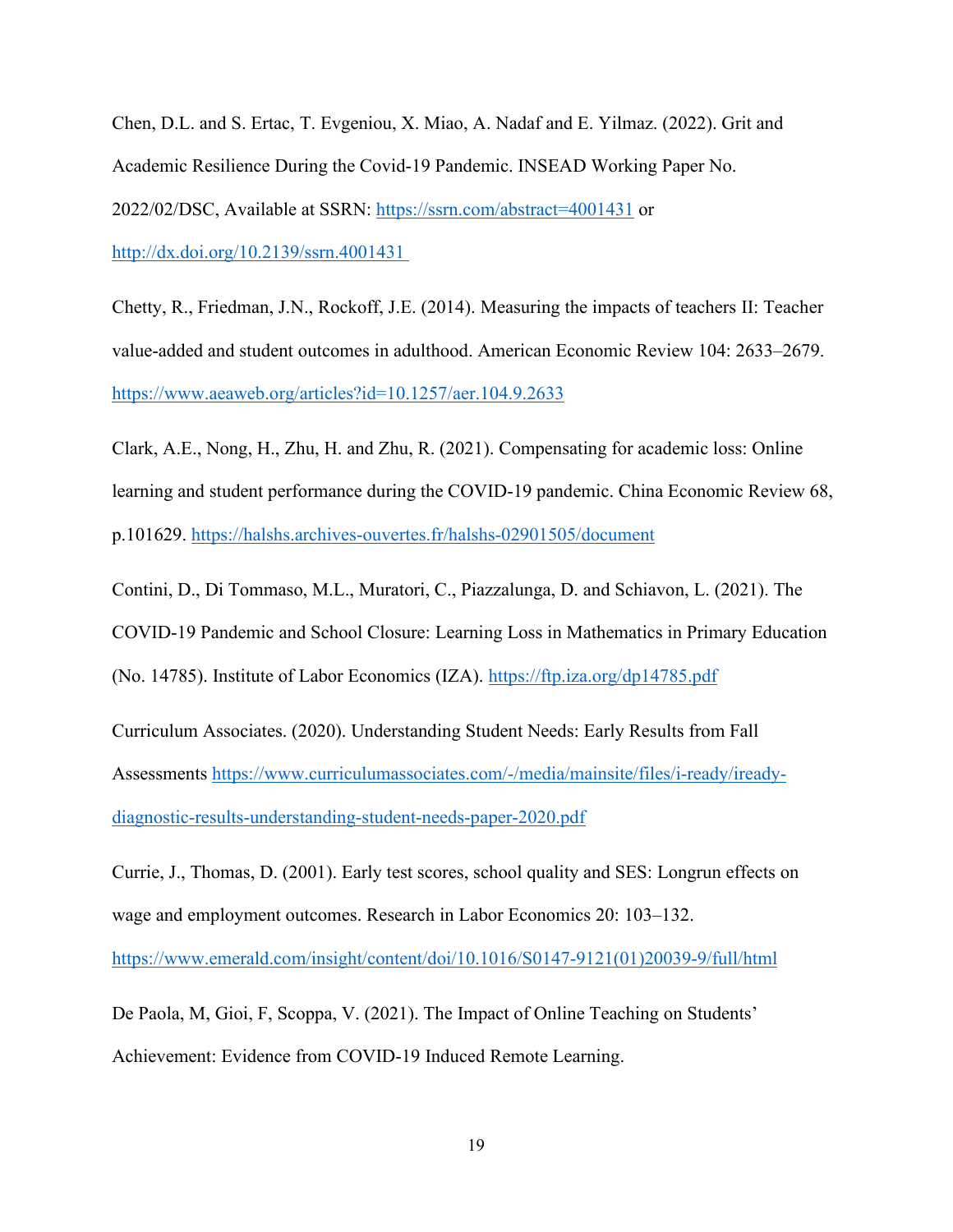Chen, D.L. and S. Ertac, T. Evgeniou, X. Miao, A. Nadaf and E. Yilmaz. (2022). Grit and Academic Resilience During the Covid-19 Pandemic. INSEAD Working Paper No. 2022/02/DSC, Available at SSRN:<https://ssrn.com/abstract=4001431> or [http://dx.doi.org/10.2139/ssrn.4001431](https://dx.doi.org/10.2139/ssrn.4001431) 

Chetty, R., Friedman, J.N., Rockoff, J.E. (2014). Measuring the impacts of teachers II: Teacher value-added and student outcomes in adulthood. American Economic Review 104: 2633–2679. <https://www.aeaweb.org/articles?id=10.1257/aer.104.9.2633>

Clark, A.E., Nong, H., Zhu, H. and Zhu, R. (2021). Compensating for academic loss: Online learning and student performance during the COVID-19 pandemic. China Economic Review 68, p.101629.<https://halshs.archives-ouvertes.fr/halshs-02901505/document>

Contini, D., Di Tommaso, M.L., Muratori, C., Piazzalunga, D. and Schiavon, L. (2021). The COVID-19 Pandemic and School Closure: Learning Loss in Mathematics in Primary Education (No. 14785). Institute of Labor Economics (IZA).<https://ftp.iza.org/dp14785.pdf>

Curriculum Associates. (2020). Understanding Student Needs: Early Results from Fall Assessments [https://www.curriculumassociates.com/-/media/mainsite/files/i-ready/iready](https://www.curriculumassociates.com/-/media/mainsite/files/i-ready/iready-diagnostic-results-understanding-student-needs-paper-2020.pdf)[diagnostic-results-understanding-student-needs-paper-2020.pdf](https://www.curriculumassociates.com/-/media/mainsite/files/i-ready/iready-diagnostic-results-understanding-student-needs-paper-2020.pdf)

Currie, J., Thomas, D. (2001). Early test scores, school quality and SES: Longrun effects on wage and employment outcomes. Research in Labor Economics 20: 103–132.

[https://www.emerald.com/insight/content/doi/10.1016/S0147-9121\(01\)20039-9/full/html](https://www.emerald.com/insight/content/doi/10.1016/S0147-9121(01)20039-9/full/html)

De Paola, M, Gioi, F, Scoppa, V. (2021). The Impact of Online Teaching on Students' Achievement: Evidence from COVID-19 Induced Remote Learning.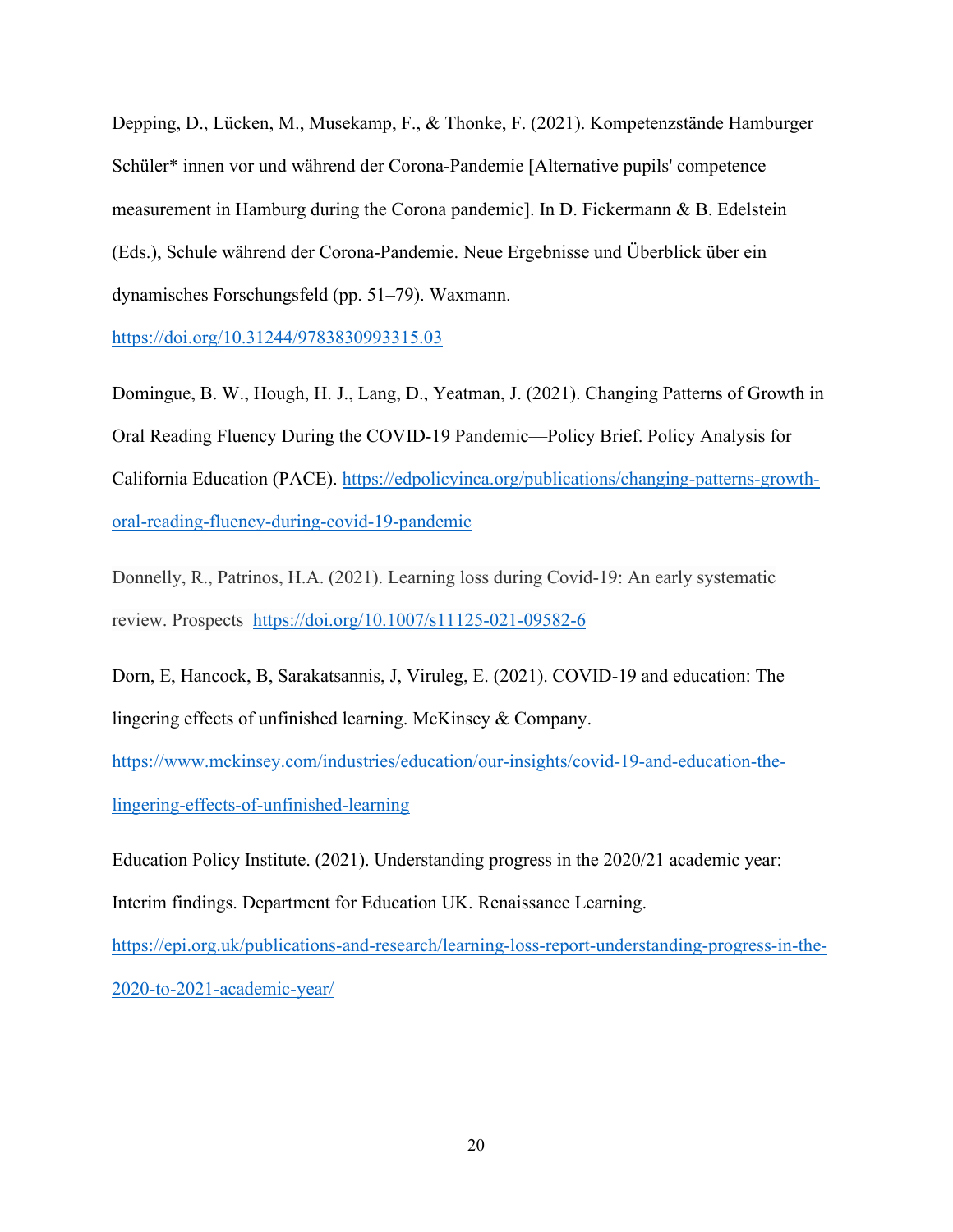Depping, D., Lücken, M., Musekamp, F., & Thonke, F. (2021). Kompetenzstände Hamburger Schüler\* innen vor und während der Corona-Pandemie [Alternative pupils' competence measurement in Hamburg during the Corona pandemic]. In D. Fickermann & B. Edelstein (Eds.), Schule während der Corona-Pandemie. Neue Ergebnisse und Überblick über ein dynamisches Forschungsfeld (pp. 51–79). Waxmann.

<https://doi.org/10.31244/9783830993315.03>

Domingue, B. W., Hough, H. J., Lang, D., Yeatman, J. (2021). Changing Patterns of Growth in Oral Reading Fluency During the COVID-19 Pandemic—Policy Brief. Policy Analysis for California Education (PACE). [https://edpolicyinca.org/publications/changing-patterns-growth](https://edpolicyinca.org/publications/changing-patterns-growth-oral-reading-fluency-during-covid-19-pandemic)[oral-reading-fluency-during-covid-19-pandemic](https://edpolicyinca.org/publications/changing-patterns-growth-oral-reading-fluency-during-covid-19-pandemic)

Donnelly, R., Patrinos, H.A. (2021). Learning loss during Covid-19: An early systematic review. Prospects <https://doi.org/10.1007/s11125-021-09582-6>

Dorn, E, Hancock, B, Sarakatsannis, J, Viruleg, E. (2021). COVID-19 and education: The lingering effects of unfinished learning. McKinsey & Company.

[https://www.mckinsey.com/industries/education/our-insights/covid-19-and-education-the](https://www.mckinsey.com/industries/education/our-insights/covid-19-and-education-the-lingering-effects-of-unfinished-learning)[lingering-effects-of-unfinished-learning](https://www.mckinsey.com/industries/education/our-insights/covid-19-and-education-the-lingering-effects-of-unfinished-learning)

Education Policy Institute. (2021). Understanding progress in the 2020/21 academic year: Interim findings. Department for Education UK. Renaissance Learning.

[https://epi.org.uk/publications-and-research/learning-loss-report-understanding-progress-in-the-](https://epi.org.uk/publications-and-research/learning-loss-report-understanding-progress-in-the-2020-to-2021-academic-year/)[2020-to-2021-academic-year/](https://epi.org.uk/publications-and-research/learning-loss-report-understanding-progress-in-the-2020-to-2021-academic-year/)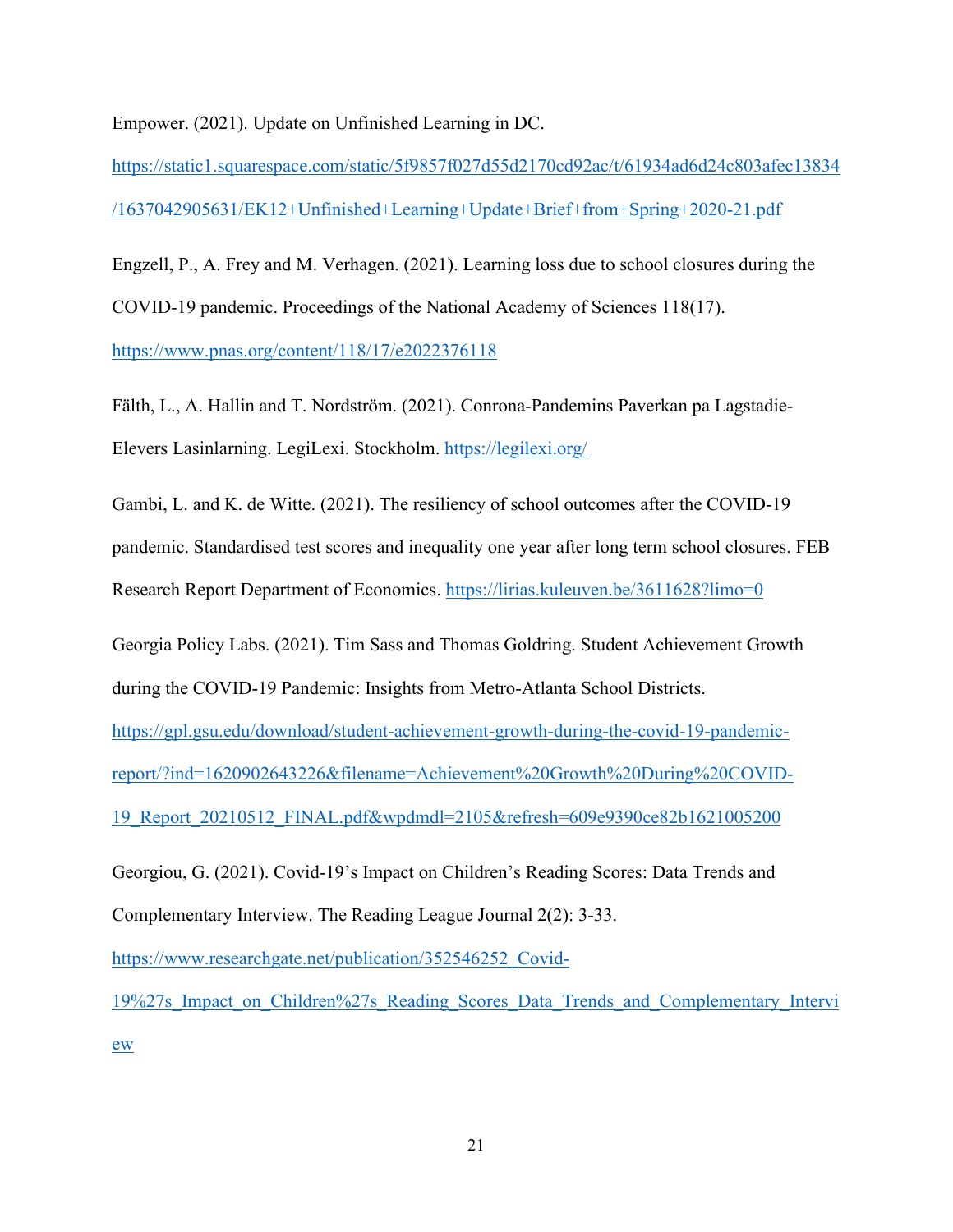Empower. (2021). Update on Unfinished Learning in DC.

[https://static1.squarespace.com/static/5f9857f027d55d2170cd92ac/t/61934ad6d24c803afec13834](https://static1.squarespace.com/static/5f9857f027d55d2170cd92ac/t/61934ad6d24c803afec13834/1637042905631/EK12+Unfinished+Learning+Update+Brief+from+Spring+2020-21.pdf) [/1637042905631/EK12+Unfinished+Learning+Update+Brief+from+Spring+2020-21.pdf](https://static1.squarespace.com/static/5f9857f027d55d2170cd92ac/t/61934ad6d24c803afec13834/1637042905631/EK12+Unfinished+Learning+Update+Brief+from+Spring+2020-21.pdf)

Engzell, P., A. Frey and M. Verhagen. (2021). Learning loss due to school closures during the COVID-19 pandemic. Proceedings of the National Academy of Sciences 118(17). <https://www.pnas.org/content/118/17/e2022376118>

Fälth, L., A. Hallin and T. Nordström. (2021). Conrona-Pandemins Paverkan pa Lagstadie-Elevers Lasinlarning. LegiLexi. Stockholm.<https://legilexi.org/>

Gambi, L. and K. de Witte. (2021). The resiliency of school outcomes after the COVID-19 pandemic. Standardised test scores and inequality one year after long term school closures. FEB Research Report Department of Economics.<https://lirias.kuleuven.be/3611628?limo=0>

Georgia Policy Labs. (2021). Tim Sass and Thomas Goldring. Student Achievement Growth during the COVID-19 Pandemic: Insights from Metro-Atlanta School Districts.

[https://gpl.gsu.edu/download/student-achievement-growth-during-the-covid-19-pandemic-](https://gpl.gsu.edu/download/student-achievement-growth-during-the-covid-19-pandemic-report/?ind=1620902643226&filename=Achievement%20Growth%20During%20COVID-19_Report_20210512_FINAL.pdf&wpdmdl=2105&refresh=609e9390ce82b1621005200)

[report/?ind=1620902643226&filename=Achievement%20Growth%20During%20COVID-](https://gpl.gsu.edu/download/student-achievement-growth-during-the-covid-19-pandemic-report/?ind=1620902643226&filename=Achievement%20Growth%20During%20COVID-19_Report_20210512_FINAL.pdf&wpdmdl=2105&refresh=609e9390ce82b1621005200)

[19\\_Report\\_20210512\\_FINAL.pdf&wpdmdl=2105&refresh=609e9390ce82b1621005200](https://gpl.gsu.edu/download/student-achievement-growth-during-the-covid-19-pandemic-report/?ind=1620902643226&filename=Achievement%20Growth%20During%20COVID-19_Report_20210512_FINAL.pdf&wpdmdl=2105&refresh=609e9390ce82b1621005200)

Georgiou, G. (2021). Covid-19's Impact on Children's Reading Scores: Data Trends and Complementary Interview. The Reading League Journal 2(2): 3-33.

[https://www.researchgate.net/publication/352546252\\_Covid-](https://www.researchgate.net/publication/352546252_Covid-19%27s_Impact_on_Children%27s_Reading_Scores_Data_Trends_and_Complementary_Interview)

[19%27s\\_Impact\\_on\\_Children%27s\\_Reading\\_Scores\\_Data\\_Trends\\_and\\_Complementary\\_Intervi](https://www.researchgate.net/publication/352546252_Covid-19%27s_Impact_on_Children%27s_Reading_Scores_Data_Trends_and_Complementary_Interview) [ew](https://www.researchgate.net/publication/352546252_Covid-19%27s_Impact_on_Children%27s_Reading_Scores_Data_Trends_and_Complementary_Interview)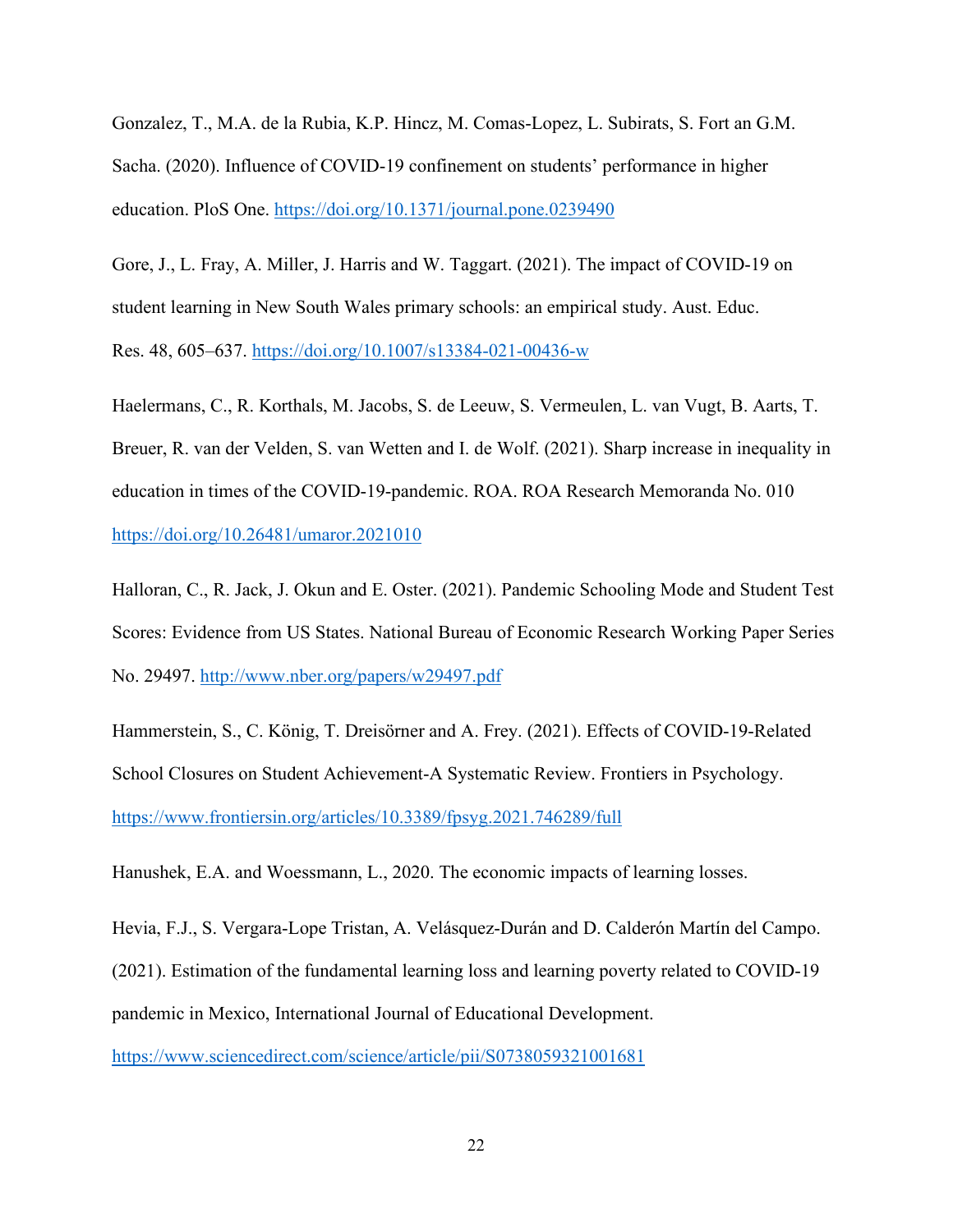Gonzalez, T., M.A. de la Rubia, K.P. Hincz, M. Comas-Lopez, L. Subirats, S. Fort an G.M. Sacha. (2020). Influence of COVID-19 confinement on students' performance in higher education. PloS One.<https://doi.org/10.1371/journal.pone.0239490>

Gore, J., L. Fray, A. Miller, J. Harris and W. Taggart. (2021). The impact of COVID-19 on student learning in New South Wales primary schools: an empirical study. Aust. Educ. Res. 48, 605–637.<https://doi.org/10.1007/s13384-021-00436-w>

Haelermans, C., R. Korthals, M. Jacobs, S. de Leeuw, S. Vermeulen, L. van Vugt, B. Aarts, T. Breuer, R. van der Velden, S. van Wetten and I. de Wolf. (2021). Sharp increase in inequality in education in times of the COVID-19-pandemic. ROA. ROA Research Memoranda No. 010 <https://doi.org/10.26481/umaror.2021010>

Halloran, C., R. Jack, J. Okun and E. Oster. (2021). Pandemic Schooling Mode and Student Test Scores: Evidence from US States. National Bureau of Economic Research Working Paper Series No. 29497.<http://www.nber.org/papers/w29497.pdf>

Hammerstein, S., C. König, T. Dreisörner and A. Frey. (2021). Effects of COVID-19-Related School Closures on Student Achievement-A Systematic Review. Frontiers in Psychology. <https://www.frontiersin.org/articles/10.3389/fpsyg.2021.746289/full>

Hanushek, E.A. and Woessmann, L., 2020. The economic impacts of learning losses.

Hevia, F.J., S. Vergara-Lope Tristan, A. Velásquez-Durán and D. Calderón Martín del Campo.

(2021). Estimation of the fundamental learning loss and learning poverty related to COVID-19

pandemic in Mexico, International Journal of Educational Development.

<https://www.sciencedirect.com/science/article/pii/S0738059321001681>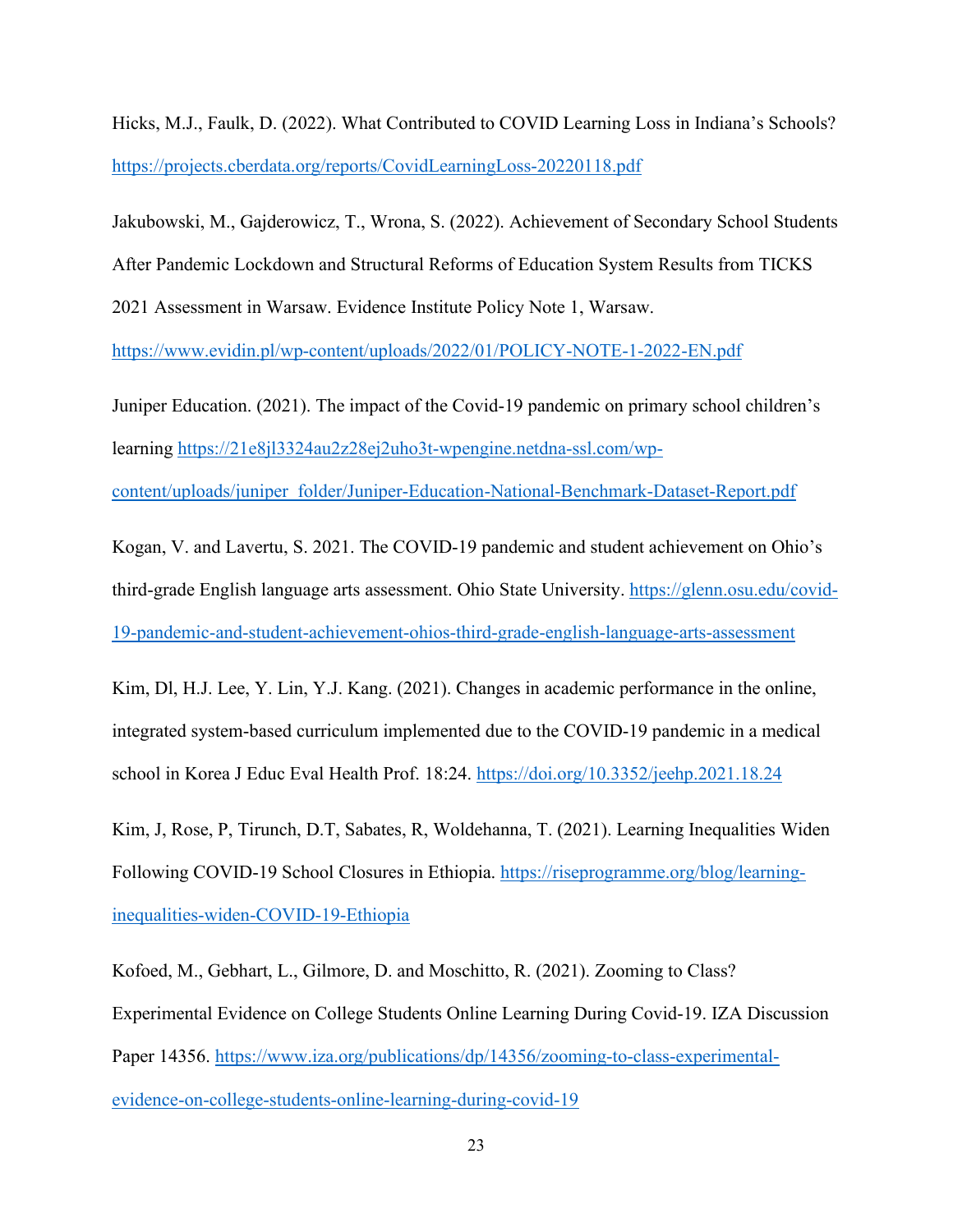Hicks, M.J., Faulk, D. (2022). What Contributed to COVID Learning Loss in Indiana's Schools? <https://projects.cberdata.org/reports/CovidLearningLoss-20220118.pdf>

Jakubowski, M., Gajderowicz, T., Wrona, S. (2022). Achievement of Secondary School Students After Pandemic Lockdown and Structural Reforms of Education System Results from TICKS 2021 Assessment in Warsaw. Evidence Institute Policy Note 1, Warsaw.

<https://www.evidin.pl/wp-content/uploads/2022/01/POLICY-NOTE-1-2022-EN.pdf>

Juniper Education. (2021). The impact of the Covid-19 pandemic on primary school children's learning [https://21e8jl3324au2z28ej2uho3t-wpengine.netdna-ssl.com/wp-](https://21e8jl3324au2z28ej2uho3t-wpengine.netdna-ssl.com/wp-content/uploads/juniper_folder/Juniper-Education-National-Benchmark-Dataset-Report.pdf)

[content/uploads/juniper\\_folder/Juniper-Education-National-Benchmark-Dataset-Report.pdf](https://21e8jl3324au2z28ej2uho3t-wpengine.netdna-ssl.com/wp-content/uploads/juniper_folder/Juniper-Education-National-Benchmark-Dataset-Report.pdf)

Kogan, V. and Lavertu, S. 2021. The COVID-19 pandemic and student achievement on Ohio's third-grade English language arts assessment. Ohio State University. [https://glenn.osu.edu/covid-](https://glenn.osu.edu/covid-19-pandemic-and-student-achievement-ohios-third-grade-english-language-arts-assessment)[19-pandemic-and-student-achievement-ohios-third-grade-english-language-arts-assessment](https://glenn.osu.edu/covid-19-pandemic-and-student-achievement-ohios-third-grade-english-language-arts-assessment)

Kim, Dl, H.J. Lee, Y. Lin, Y.J. Kang. (2021). Changes in academic performance in the online, integrated system-based curriculum implemented due to the COVID-19 pandemic in a medical school in Korea J Educ Eval Health Prof. 18:24. <https://doi.org/10.3352/jeehp.2021.18.24>

Kim, J, Rose, P, Tirunch, D.T, Sabates, R, Woldehanna, T. (2021). Learning Inequalities Widen Following COVID-19 School Closures in Ethiopia. [https://riseprogramme.org/blog/learning](https://riseprogramme.org/blog/learning-inequalities-widen-COVID-19-Ethiopia)[inequalities-widen-COVID-19-Ethiopia](https://riseprogramme.org/blog/learning-inequalities-widen-COVID-19-Ethiopia)

Kofoed, M., Gebhart, L., Gilmore, D. and Moschitto, R. (2021). Zooming to Class? Experimental Evidence on College Students Online Learning During Covid-19. IZA Discussion Paper 14356. [https://www.iza.org/publications/dp/14356/zooming-to-class-experimental](https://www.iza.org/publications/dp/14356/zooming-to-class-experimental-evidence-on-college-students-online-learning-during-covid-19)[evidence-on-college-students-online-learning-during-covid-19](https://www.iza.org/publications/dp/14356/zooming-to-class-experimental-evidence-on-college-students-online-learning-during-covid-19)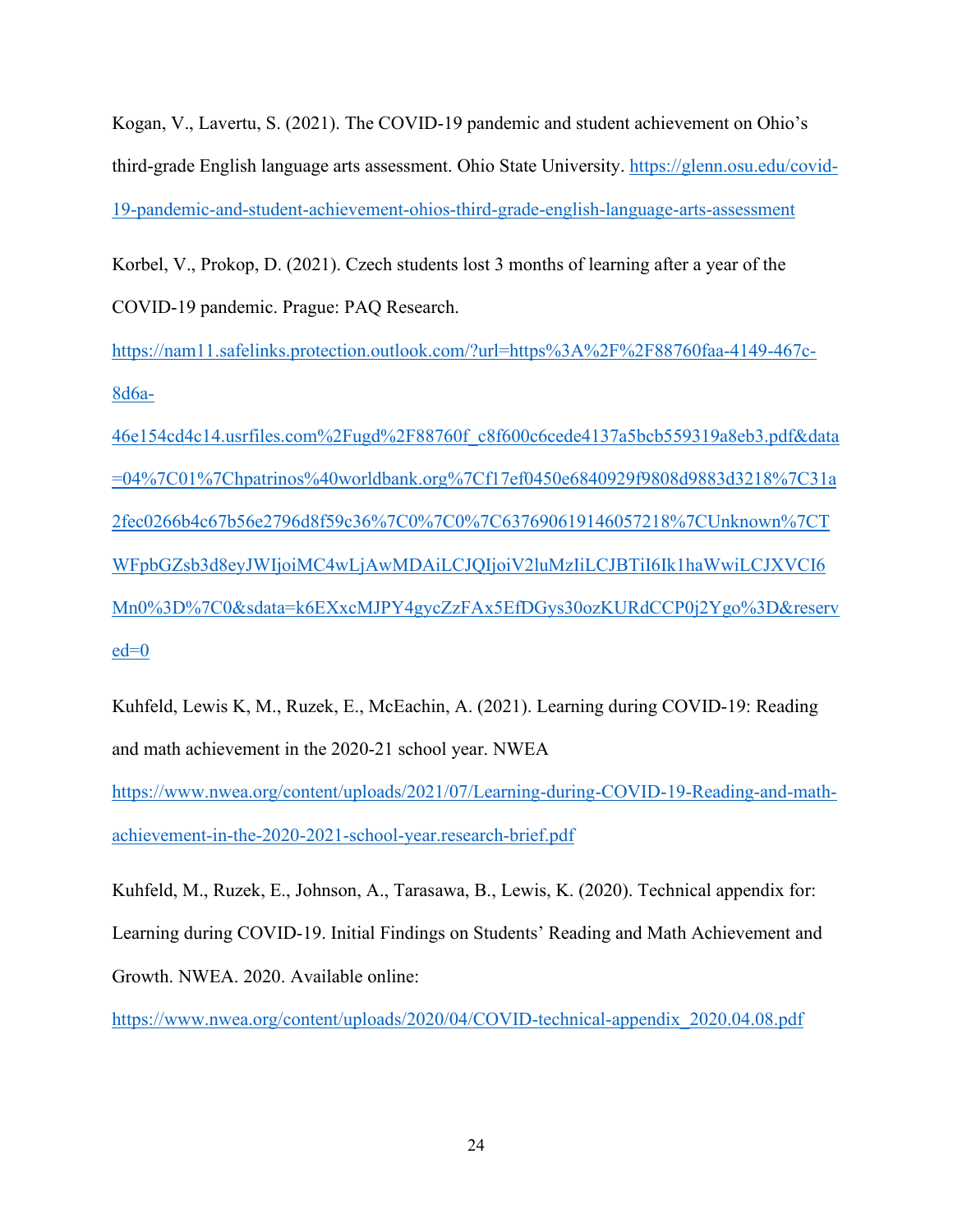Kogan, V., Lavertu, S. (2021). The COVID-19 pandemic and student achievement on Ohio's third-grade English language arts assessment. Ohio State University. [https://glenn.osu.edu/covid-](https://glenn.osu.edu/covid-19-pandemic-and-student-achievement-ohios-third-grade-english-language-arts-assessment)[19-pandemic-and-student-achievement-ohios-third-grade-english-language-arts-assessment](https://glenn.osu.edu/covid-19-pandemic-and-student-achievement-ohios-third-grade-english-language-arts-assessment)

Korbel, V., Prokop, D. (2021). Czech students lost 3 months of learning after a year of the COVID-19 pandemic. Prague: PAQ Research.

[https://nam11.safelinks.protection.outlook.com/?url=https%3A%2F%2F88760faa-4149-467c-](https://nam11.safelinks.protection.outlook.com/?url=https%3A%2F%2F88760faa-4149-467c-8d6a-46e154cd4c14.usrfiles.com%2Fugd%2F88760f_c8f600c6cede4137a5bcb559319a8eb3.pdf&data=04%7C01%7Chpatrinos%40worldbank.org%7Cf17ef0450e6840929f9808d9883d3218%7C31a2fec0266b4c67b56e2796d8f59c36%7C0%7C0%7C637690619146057218%7CUnknown%7CTWFpbGZsb3d8eyJWIjoiMC4wLjAwMDAiLCJQIjoiV2luMzIiLCJBTiI6Ik1haWwiLCJXVCI6Mn0%3D%7C0&sdata=k6EXxcMJPY4gycZzFAx5EfDGys30ozKURdCCP0j2Ygo%3D&reserved=0)[8d6a-](https://nam11.safelinks.protection.outlook.com/?url=https%3A%2F%2F88760faa-4149-467c-8d6a-46e154cd4c14.usrfiles.com%2Fugd%2F88760f_c8f600c6cede4137a5bcb559319a8eb3.pdf&data=04%7C01%7Chpatrinos%40worldbank.org%7Cf17ef0450e6840929f9808d9883d3218%7C31a2fec0266b4c67b56e2796d8f59c36%7C0%7C0%7C637690619146057218%7CUnknown%7CTWFpbGZsb3d8eyJWIjoiMC4wLjAwMDAiLCJQIjoiV2luMzIiLCJBTiI6Ik1haWwiLCJXVCI6Mn0%3D%7C0&sdata=k6EXxcMJPY4gycZzFAx5EfDGys30ozKURdCCP0j2Ygo%3D&reserved=0)

[46e154cd4c14.usrfiles.com%2Fugd%2F88760f\\_c8f600c6cede4137a5bcb559319a8eb3.pdf&data](https://nam11.safelinks.protection.outlook.com/?url=https%3A%2F%2F88760faa-4149-467c-8d6a-46e154cd4c14.usrfiles.com%2Fugd%2F88760f_c8f600c6cede4137a5bcb559319a8eb3.pdf&data=04%7C01%7Chpatrinos%40worldbank.org%7Cf17ef0450e6840929f9808d9883d3218%7C31a2fec0266b4c67b56e2796d8f59c36%7C0%7C0%7C637690619146057218%7CUnknown%7CTWFpbGZsb3d8eyJWIjoiMC4wLjAwMDAiLCJQIjoiV2luMzIiLCJBTiI6Ik1haWwiLCJXVCI6Mn0%3D%7C0&sdata=k6EXxcMJPY4gycZzFAx5EfDGys30ozKURdCCP0j2Ygo%3D&reserved=0) [=04%7C01%7Chpatrinos%40worldbank.org%7Cf17ef0450e6840929f9808d9883d3218%7C31a](https://nam11.safelinks.protection.outlook.com/?url=https%3A%2F%2F88760faa-4149-467c-8d6a-46e154cd4c14.usrfiles.com%2Fugd%2F88760f_c8f600c6cede4137a5bcb559319a8eb3.pdf&data=04%7C01%7Chpatrinos%40worldbank.org%7Cf17ef0450e6840929f9808d9883d3218%7C31a2fec0266b4c67b56e2796d8f59c36%7C0%7C0%7C637690619146057218%7CUnknown%7CTWFpbGZsb3d8eyJWIjoiMC4wLjAwMDAiLCJQIjoiV2luMzIiLCJBTiI6Ik1haWwiLCJXVCI6Mn0%3D%7C0&sdata=k6EXxcMJPY4gycZzFAx5EfDGys30ozKURdCCP0j2Ygo%3D&reserved=0) [2fec0266b4c67b56e2796d8f59c36%7C0%7C0%7C637690619146057218%7CUnknown%7CT](https://nam11.safelinks.protection.outlook.com/?url=https%3A%2F%2F88760faa-4149-467c-8d6a-46e154cd4c14.usrfiles.com%2Fugd%2F88760f_c8f600c6cede4137a5bcb559319a8eb3.pdf&data=04%7C01%7Chpatrinos%40worldbank.org%7Cf17ef0450e6840929f9808d9883d3218%7C31a2fec0266b4c67b56e2796d8f59c36%7C0%7C0%7C637690619146057218%7CUnknown%7CTWFpbGZsb3d8eyJWIjoiMC4wLjAwMDAiLCJQIjoiV2luMzIiLCJBTiI6Ik1haWwiLCJXVCI6Mn0%3D%7C0&sdata=k6EXxcMJPY4gycZzFAx5EfDGys30ozKURdCCP0j2Ygo%3D&reserved=0) [WFpbGZsb3d8eyJWIjoiMC4wLjAwMDAiLCJQIjoiV2luMzIiLCJBTiI6Ik1haWwiLCJXVCI6](https://nam11.safelinks.protection.outlook.com/?url=https%3A%2F%2F88760faa-4149-467c-8d6a-46e154cd4c14.usrfiles.com%2Fugd%2F88760f_c8f600c6cede4137a5bcb559319a8eb3.pdf&data=04%7C01%7Chpatrinos%40worldbank.org%7Cf17ef0450e6840929f9808d9883d3218%7C31a2fec0266b4c67b56e2796d8f59c36%7C0%7C0%7C637690619146057218%7CUnknown%7CTWFpbGZsb3d8eyJWIjoiMC4wLjAwMDAiLCJQIjoiV2luMzIiLCJBTiI6Ik1haWwiLCJXVCI6Mn0%3D%7C0&sdata=k6EXxcMJPY4gycZzFAx5EfDGys30ozKURdCCP0j2Ygo%3D&reserved=0) [Mn0%3D%7C0&sdata=k6EXxcMJPY4gycZzFAx5EfDGys30ozKURdCCP0j2Ygo%3D&reserv](https://nam11.safelinks.protection.outlook.com/?url=https%3A%2F%2F88760faa-4149-467c-8d6a-46e154cd4c14.usrfiles.com%2Fugd%2F88760f_c8f600c6cede4137a5bcb559319a8eb3.pdf&data=04%7C01%7Chpatrinos%40worldbank.org%7Cf17ef0450e6840929f9808d9883d3218%7C31a2fec0266b4c67b56e2796d8f59c36%7C0%7C0%7C637690619146057218%7CUnknown%7CTWFpbGZsb3d8eyJWIjoiMC4wLjAwMDAiLCJQIjoiV2luMzIiLCJBTiI6Ik1haWwiLCJXVCI6Mn0%3D%7C0&sdata=k6EXxcMJPY4gycZzFAx5EfDGys30ozKURdCCP0j2Ygo%3D&reserved=0)  $ed=0$ 

Kuhfeld, Lewis K, M., Ruzek, E., McEachin, A. (2021). Learning during COVID-19: Reading and math achievement in the 2020-21 school year. NWEA

[https://www.nwea.org/content/uploads/2021/07/Learning-during-COVID-19-Reading-and-math](https://www.nwea.org/content/uploads/2021/07/Learning-during-COVID-19-Reading-and-math-achievement-in-the-2020-2021-school-year.research-brief.pdf)[achievement-in-the-2020-2021-school-year.research-brief.pdf](https://www.nwea.org/content/uploads/2021/07/Learning-during-COVID-19-Reading-and-math-achievement-in-the-2020-2021-school-year.research-brief.pdf)

Kuhfeld, M., Ruzek, E., Johnson, A., Tarasawa, B., Lewis, K. (2020). Technical appendix for: Learning during COVID-19. Initial Findings on Students' Reading and Math Achievement and Growth. NWEA. 2020. Available online:

[https://www.nwea.org/content/uploads/2020/04/COVID-technical-appendix\\_2020.04.08.pdf](https://www.nwea.org/content/uploads/2020/04/COVID-technical-appendix_2020.04.08.pdf)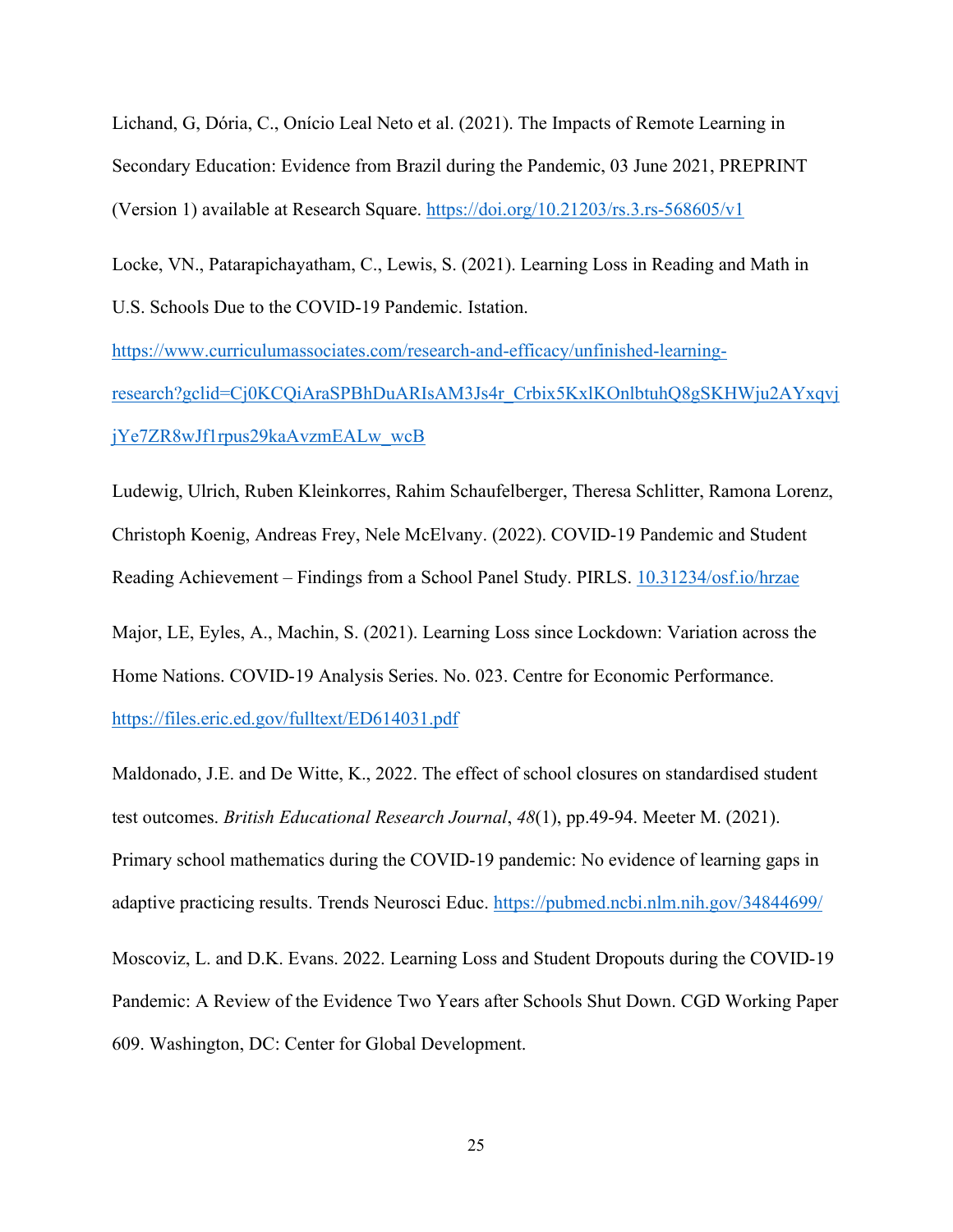Lichand, G, Dória, C., Onício Leal Neto et al. (2021). The Impacts of Remote Learning in Secondary Education: Evidence from Brazil during the Pandemic, 03 June 2021, PREPRINT (Version 1) available at Research Square.<https://doi.org/10.21203/rs.3.rs-568605/v1>

Locke, VN., Patarapichayatham, C., Lewis, S. (2021). Learning Loss in Reading and Math in U.S. Schools Due to the COVID-19 Pandemic. Istation.

[https://www.curriculumassociates.com/research-and-efficacy/unfinished-learning](https://www.curriculumassociates.com/research-and-efficacy/unfinished-learning-research?gclid=Cj0KCQiAraSPBhDuARIsAM3Js4r_Crbix5KxlKOnlbtuhQ8gSKHWju2AYxqvjjYe7ZR8wJf1rpus29kaAvzmEALw_wcB)[research?gclid=Cj0KCQiAraSPBhDuARIsAM3Js4r\\_Crbix5KxlKOnlbtuhQ8gSKHWju2AYxqvj](https://www.curriculumassociates.com/research-and-efficacy/unfinished-learning-research?gclid=Cj0KCQiAraSPBhDuARIsAM3Js4r_Crbix5KxlKOnlbtuhQ8gSKHWju2AYxqvjjYe7ZR8wJf1rpus29kaAvzmEALw_wcB) [jYe7ZR8wJf1rpus29kaAvzmEALw\\_wcB](https://www.curriculumassociates.com/research-and-efficacy/unfinished-learning-research?gclid=Cj0KCQiAraSPBhDuARIsAM3Js4r_Crbix5KxlKOnlbtuhQ8gSKHWju2AYxqvjjYe7ZR8wJf1rpus29kaAvzmEALw_wcB)

Ludewig, Ulrich, Ruben Kleinkorres, Rahim Schaufelberger, Theresa Schlitter, Ramona Lorenz, Christoph Koenig, Andreas Frey, Nele McElvany. (2022). COVID-19 Pandemic and Student Reading Achievement – Findings from a School Panel Study. PIRLS. [10.31234/osf.io/hrzae](https://doi.org/10.31234/osf.io/hrzae)

Major, LE, Eyles, A., Machin, S. (2021). Learning Loss since Lockdown: Variation across the Home Nations. COVID-19 Analysis Series. No. 023. Centre for Economic Performance.

<https://files.eric.ed.gov/fulltext/ED614031.pdf>

Maldonado, J.E. and De Witte, K., 2022. The effect of school closures on standardised student test outcomes. *British Educational Research Journal*, *48*(1), pp.49-94. Meeter M. (2021). Primary school mathematics during the COVID-19 pandemic: No evidence of learning gaps in adaptive practicing results. Trends Neurosci Educ.<https://pubmed.ncbi.nlm.nih.gov/34844699/>

Moscoviz, L. and D.K. Evans. 2022. Learning Loss and Student Dropouts during the COVID-19 Pandemic: A Review of the Evidence Two Years after Schools Shut Down. CGD Working Paper 609. Washington, DC: Center for Global Development.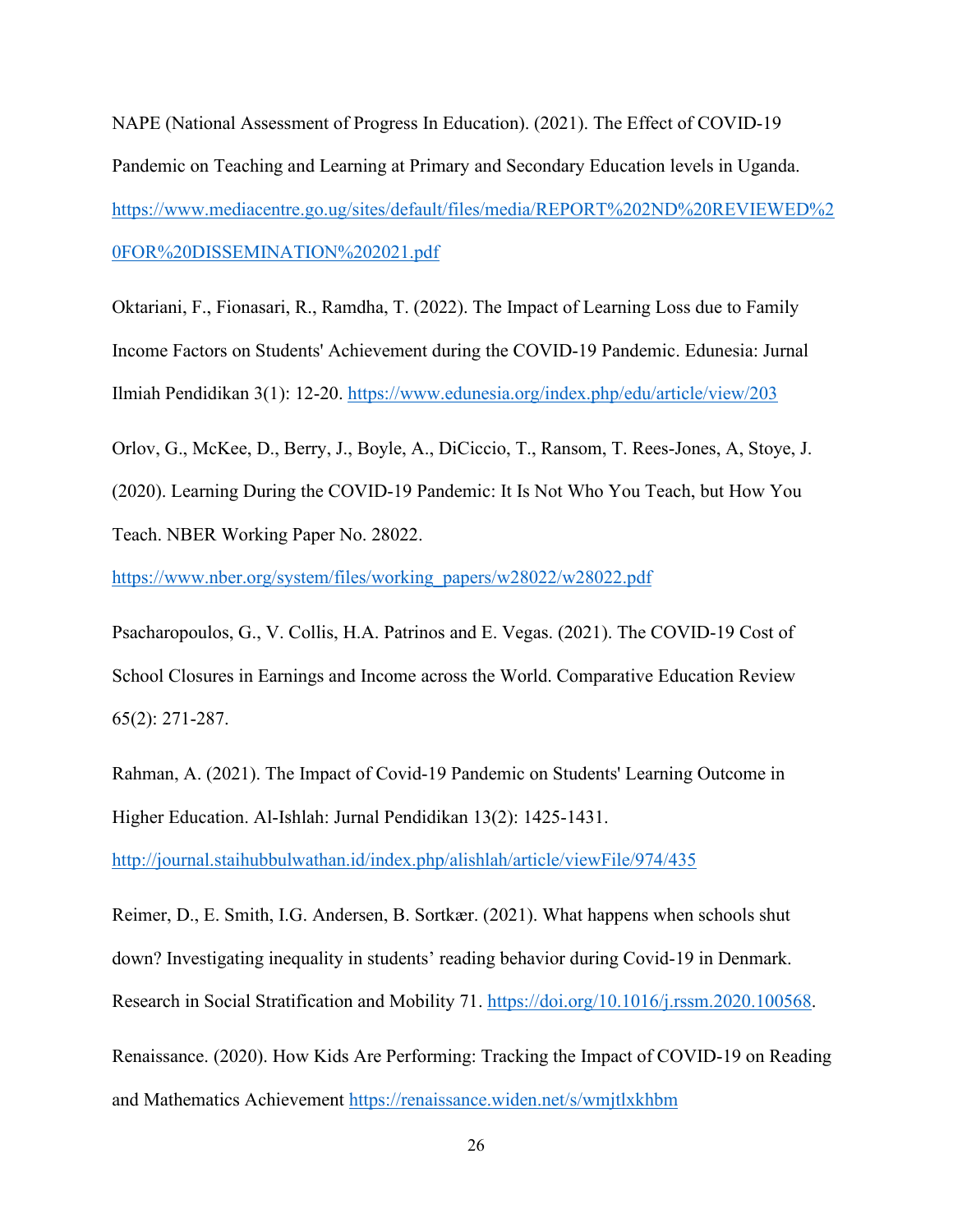NAPE (National Assessment of Progress In Education). (2021). The Effect of COVID-19 Pandemic on Teaching and Learning at Primary and Secondary Education levels in Uganda. [https://www.mediacentre.go.ug/sites/default/files/media/REPORT%202ND%20REVIEWED%2](https://www.mediacentre.go.ug/sites/default/files/media/REPORT%202ND%20REVIEWED%20FOR%20DISSEMINATION%202021.pdf) [0FOR%20DISSEMINATION%202021.pdf](https://www.mediacentre.go.ug/sites/default/files/media/REPORT%202ND%20REVIEWED%20FOR%20DISSEMINATION%202021.pdf)

Oktariani, F., Fionasari, R., Ramdha, T. (2022). The Impact of Learning Loss due to Family Income Factors on Students' Achievement during the COVID-19 Pandemic. Edunesia: Jurnal Ilmiah Pendidikan 3(1): 12-20.<https://www.edunesia.org/index.php/edu/article/view/203>

Orlov, G., McKee, D., Berry, J., Boyle, A., DiCiccio, T., Ransom, T. Rees-Jones, A, Stoye, J. (2020). Learning During the COVID-19 Pandemic: It Is Not Who You Teach, but How You Teach. NBER Working Paper No. 28022.

[https://www.nber.org/system/files/working\\_papers/w28022/w28022.pdf](https://www.nber.org/system/files/working_papers/w28022/w28022.pdf)

Psacharopoulos, G., V. Collis, H.A. Patrinos and E. Vegas. (2021). The COVID-19 Cost of School Closures in Earnings and Income across the World. Comparative Education Review 65(2): 271-287.

Rahman, A. (2021). The Impact of Covid-19 Pandemic on Students' Learning Outcome in Higher Education. Al-Ishlah: Jurnal Pendidikan 13(2): 1425-1431.

<http://journal.staihubbulwathan.id/index.php/alishlah/article/viewFile/974/435>

Reimer, D., E. Smith, I.G. Andersen, B. Sortkær. (2021). What happens when schools shut down? Investigating inequality in students' reading behavior during Covid-19 in Denmark. Research in Social Stratification and Mobility 71. [https://doi.org/10.1016/j.rssm.2020.100568.](https://doi.org/10.1016/j.rssm.2020.100568)

Renaissance. (2020). How Kids Are Performing: Tracking the Impact of COVID-19 on Reading and Mathematics Achievement<https://renaissance.widen.net/s/wmjtlxkhbm>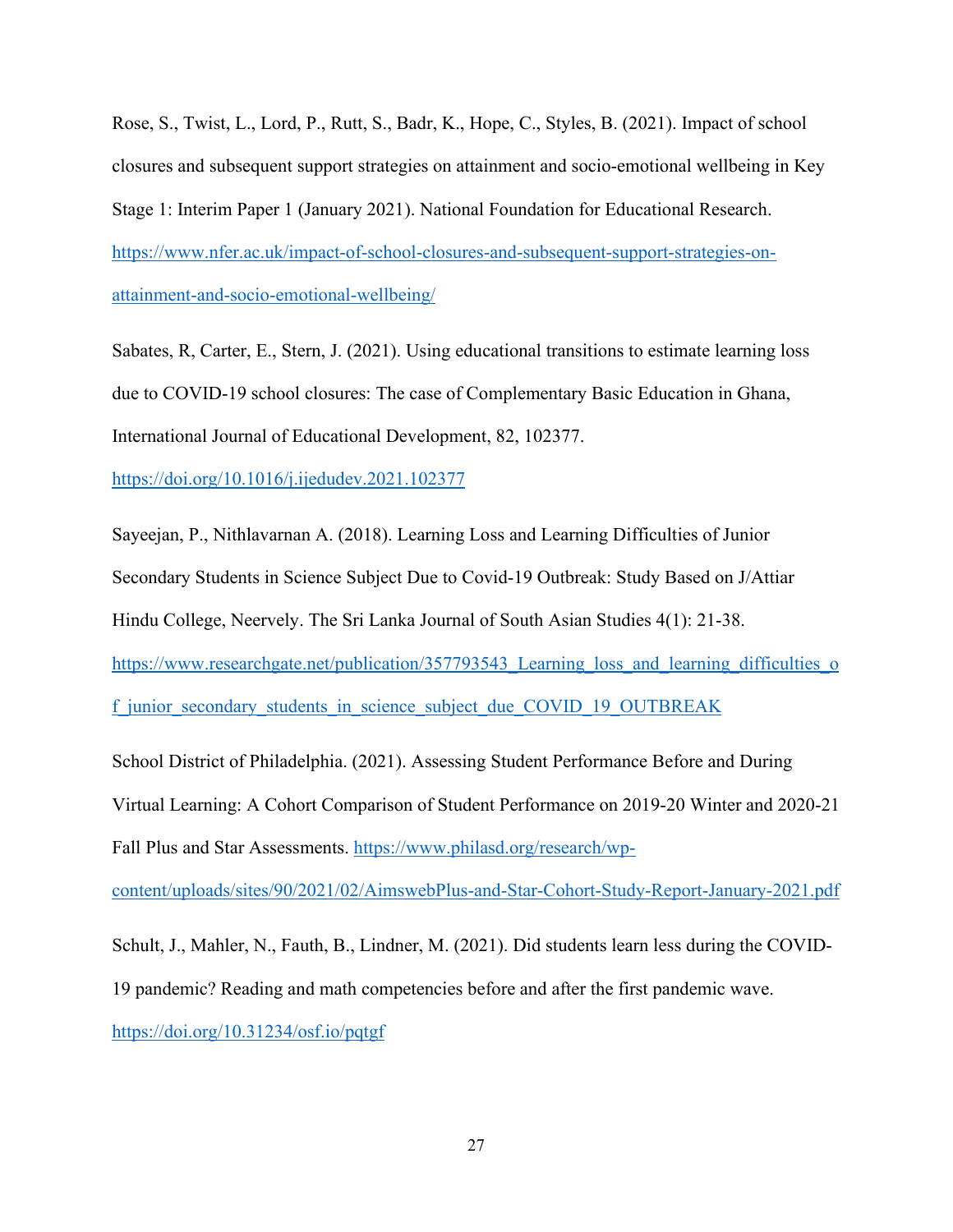Rose, S., Twist, L., Lord, P., Rutt, S., Badr, K., Hope, C., Styles, B. (2021). Impact of school closures and subsequent support strategies on attainment and socio-emotional wellbeing in Key Stage 1: Interim Paper 1 (January 2021). National Foundation for Educational Research. [https://www.nfer.ac.uk/impact-of-school-closures-and-subsequent-support-strategies-on](https://www.nfer.ac.uk/impact-of-school-closures-and-subsequent-support-strategies-on-attainment-and-socio-emotional-wellbeing/)[attainment-and-socio-emotional-wellbeing/](https://www.nfer.ac.uk/impact-of-school-closures-and-subsequent-support-strategies-on-attainment-and-socio-emotional-wellbeing/)

Sabates, R, Carter, E., Stern, J. (2021). Using educational transitions to estimate learning loss due to COVID-19 school closures: The case of Complementary Basic Education in Ghana, International Journal of Educational Development, 82, 102377.

<https://doi.org/10.1016/j.ijedudev.2021.102377>

Sayeejan, P., Nithlavarnan A. (2018). Learning Loss and Learning Difficulties of Junior Secondary Students in Science Subject Due to Covid-19 Outbreak: Study Based on J/Attiar Hindu College, Neervely. The Sri Lanka Journal of South Asian Studies 4(1): 21-38. https://www.researchgate.net/publication/357793543 Learning loss and learning difficulties o f junior secondary students in science subject due COVID\_19\_OUTBREAK School District of Philadelphia. (2021). Assessing Student Performance Before and During Virtual Learning: A Cohort Comparison of Student Performance on 2019-20 Winter and 2020-21

Fall Plus and Star Assessments. [https://www.philasd.org/research/wp-](https://www.philasd.org/research/wp-content/uploads/sites/90/2021/02/AimswebPlus-and-Star-Cohort-Study-Report-January-2021.pdf)

[content/uploads/sites/90/2021/02/AimswebPlus-and-Star-Cohort-Study-Report-January-2021.pdf](https://www.philasd.org/research/wp-content/uploads/sites/90/2021/02/AimswebPlus-and-Star-Cohort-Study-Report-January-2021.pdf)

Schult, J., Mahler, N., Fauth, B., Lindner, M. (2021). Did students learn less during the COVID-19 pandemic? Reading and math competencies before and after the first pandemic wave. <https://doi.org/10.31234/osf.io/pqtgf>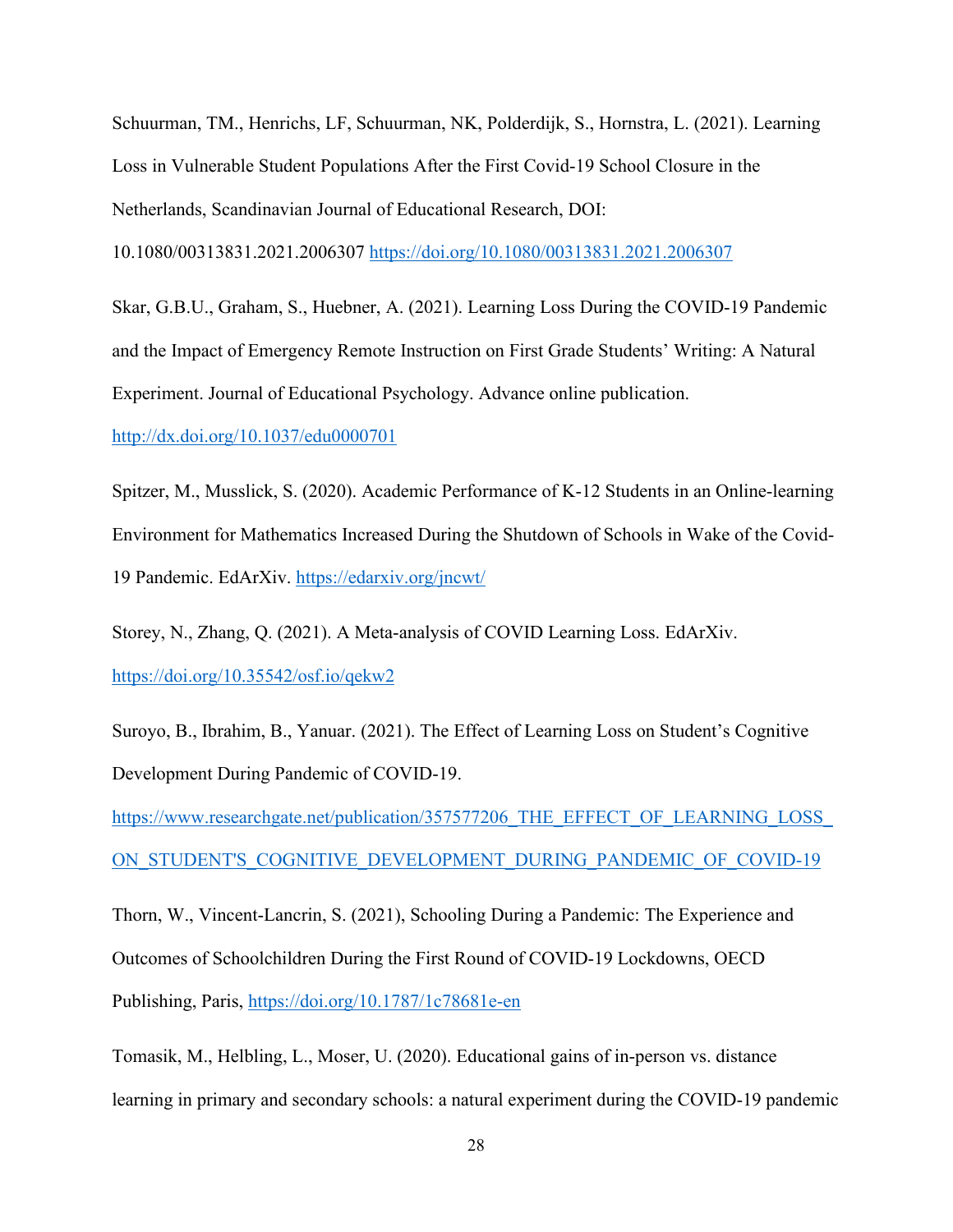Schuurman, TM., Henrichs, LF, Schuurman, NK, Polderdijk, S., Hornstra, L. (2021). Learning Loss in Vulnerable Student Populations After the First Covid-19 School Closure in the Netherlands, Scandinavian Journal of Educational Research, DOI:

10.1080/00313831.2021.2006307<https://doi.org/10.1080/00313831.2021.2006307>

Skar, G.B.U., Graham, S., Huebner, A. (2021). Learning Loss During the COVID-19 Pandemic and the Impact of Emergency Remote Instruction on First Grade Students' Writing: A Natural Experiment. Journal of Educational Psychology. Advance online publication.

<http://dx.doi.org/10.1037/edu0000701>

Spitzer, M., Musslick, S. (2020). Academic Performance of K-12 Students in an Online-learning Environment for Mathematics Increased During the Shutdown of Schools in Wake of the Covid-19 Pandemic. EdArXiv.<https://edarxiv.org/jncwt/>

Storey, N., Zhang, Q. (2021). A Meta-analysis of COVID Learning Loss. EdArXiv. <https://doi.org/10.35542/osf.io/qekw2>

Suroyo, B., Ibrahim, B., Yanuar. (2021). The Effect of Learning Loss on Student's Cognitive Development During Pandemic of COVID-19.

https://www.researchgate.net/publication/357577206 THE EFFECT OF LEARNING LOSS ON STUDENT'S COGNITIVE DEVELOPMENT DURING PANDEMIC OF COVID-19

Thorn, W., Vincent-Lancrin, S. (2021), Schooling During a Pandemic: The Experience and Outcomes of Schoolchildren During the First Round of COVID-19 Lockdowns, OECD Publishing, Paris,<https://doi.org/10.1787/1c78681e-en>

Tomasik, M., Helbling, L., Moser, U. (2020). Educational gains of in-person vs. distance learning in primary and secondary schools: a natural experiment during the COVID-19 pandemic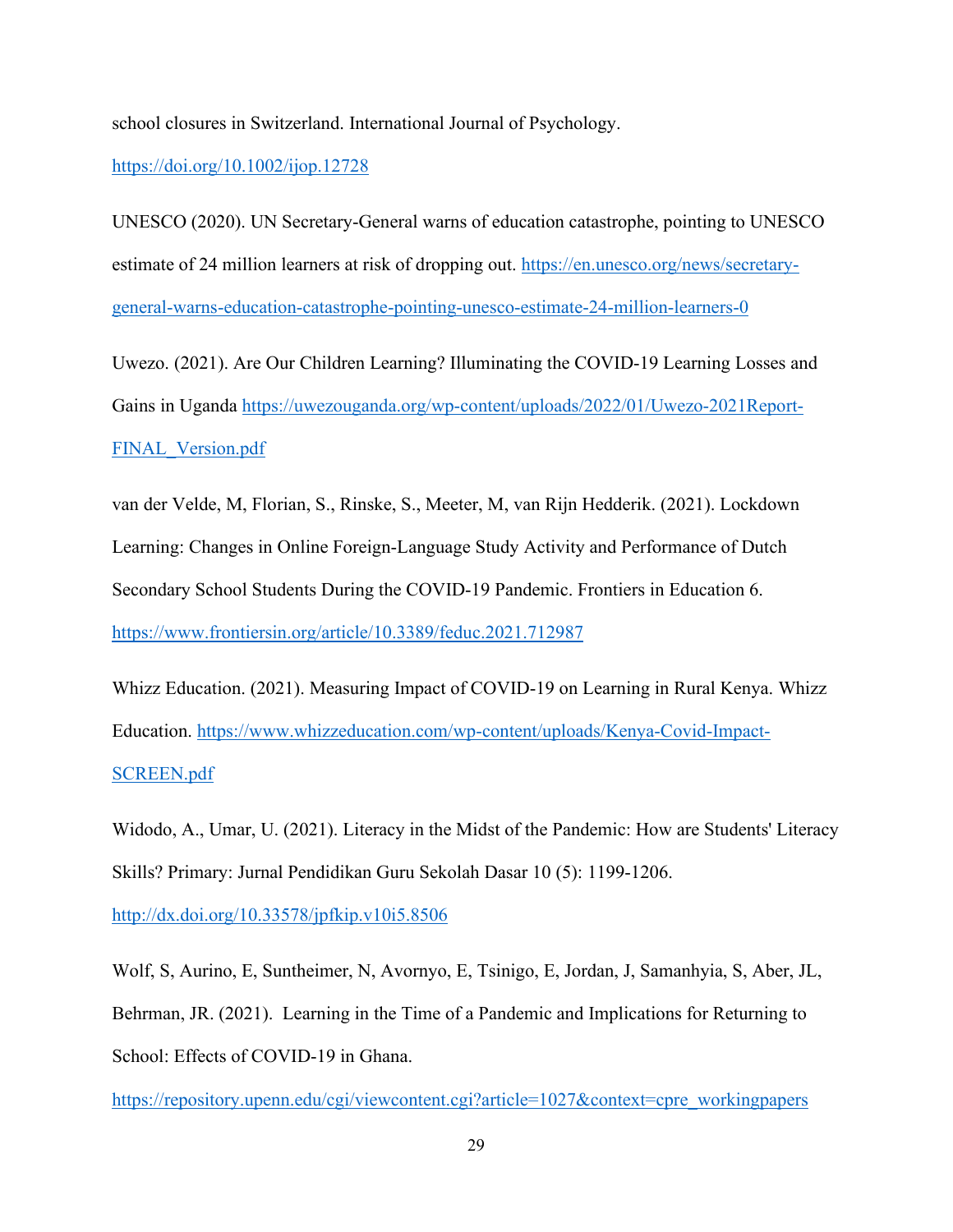school closures in Switzerland. International Journal of Psychology.

#### <https://doi.org/10.1002/ijop.12728>

UNESCO (2020). UN Secretary-General warns of education catastrophe, pointing to UNESCO estimate of 24 million learners at risk of dropping out. [https://en.unesco.org/news/secretary](https://en.unesco.org/news/secretary-general-warns-education-catastrophe-pointing-unesco-estimate-24-million-learners-0)[general-warns-education-catastrophe-pointing-unesco-estimate-24-million-learners-0](https://en.unesco.org/news/secretary-general-warns-education-catastrophe-pointing-unesco-estimate-24-million-learners-0)

Uwezo. (2021). Are Our Children Learning? Illuminating the COVID-19 Learning Losses and Gains in Uganda [https://uwezouganda.org/wp-content/uploads/2022/01/Uwezo-2021Report-](https://uwezouganda.org/wp-content/uploads/2022/01/Uwezo-2021Report-FINAL_Version.pdf)[FINAL\\_Version.pdf](https://uwezouganda.org/wp-content/uploads/2022/01/Uwezo-2021Report-FINAL_Version.pdf)

van der Velde, M, Florian, S., Rinske, S., Meeter, M, van Rijn Hedderik. (2021). Lockdown Learning: Changes in Online Foreign-Language Study Activity and Performance of Dutch Secondary School Students During the COVID-19 Pandemic. Frontiers in Education 6. <https://www.frontiersin.org/article/10.3389/feduc.2021.712987>

Whizz Education. (2021). Measuring Impact of COVID-19 on Learning in Rural Kenya. Whizz Education. [https://www.whizzeducation.com/wp-content/uploads/Kenya-Covid-Impact-](https://www.whizzeducation.com/wp-content/uploads/Kenya-Covid-Impact-SCREEN.pdf)[SCREEN.pdf](https://www.whizzeducation.com/wp-content/uploads/Kenya-Covid-Impact-SCREEN.pdf)

Widodo, A., Umar, U. (2021). Literacy in the Midst of the Pandemic: How are Students' Literacy Skills? Primary: Jurnal Pendidikan Guru Sekolah Dasar 10 (5): 1199-1206.

<http://dx.doi.org/10.33578/jpfkip.v10i5.8506>

Wolf, S, Aurino, E, Suntheimer, N, Avornyo, E, Tsinigo, E, Jordan, J, Samanhyia, S, Aber, JL, Behrman, JR. (2021). Learning in the Time of a Pandemic and Implications for Returning to School: Effects of COVID-19 in Ghana.

[https://repository.upenn.edu/cgi/viewcontent.cgi?article=1027&context=cpre\\_workingpapers](https://repository.upenn.edu/cgi/viewcontent.cgi?article=1027&context=cpre_workingpapers)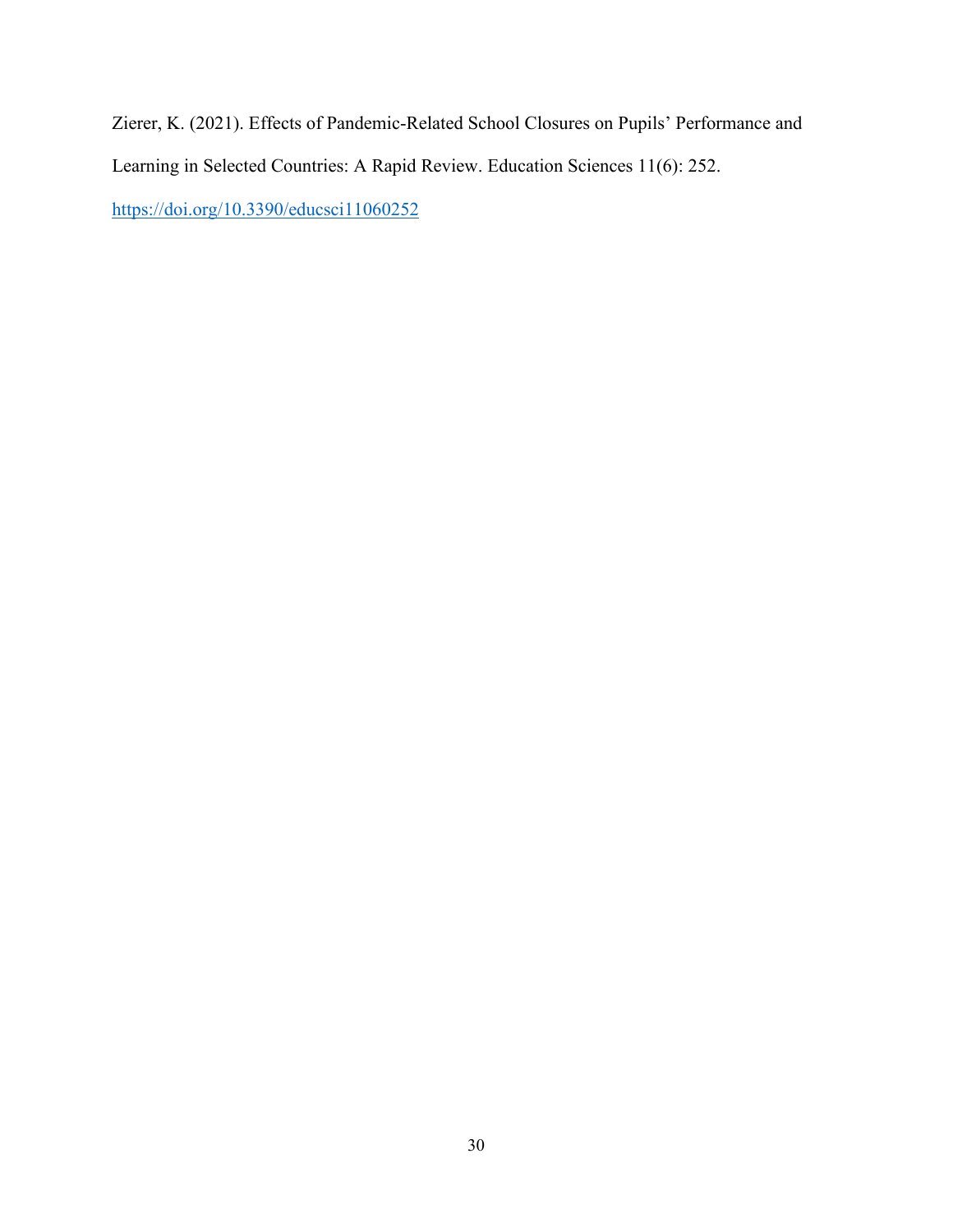Zierer, K. (2021). Effects of Pandemic-Related School Closures on Pupils' Performance and Learning in Selected Countries: A Rapid Review. Education Sciences 11(6): 252. <https://doi.org/10.3390/educsci11060252>